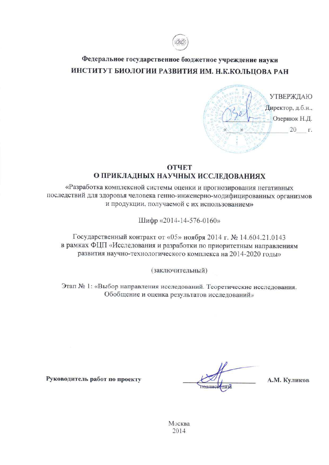

# Федеральное государственное бюджетное учреждение науки ИНСТИТУТ БИОЛОГИИ РАЗВИТИЯ ИМ. Н.К.КОЛЬЦОВА РАН



## **ОТЧЕТ** О ПРИКЛАДНЫХ НАУЧНЫХ ИССЛЕДОВАНИЯХ

«Разработка комплексной системы оценки и прогнозирования негативных последствий для здоровья человека генно-инженерно-модифицированных организмов и продукции, получаемой с их использованием»

Шифр «2014-14-576-0160»

Государственный контракт от «05» ноября 2014 г. № 14.604.21.0143 в рамках ФЦП «Исследования и разработки по приоритетным направлениям развития научно-технологического комплекса на 2014-2020 годы»

(заключительный)

Этап № 1: «Выбор направления исследований. Теоретические исследования. Обобщение и оценка результатов исследований»

А.М. Куликов

Руководитель работ по проекту

Москва 2014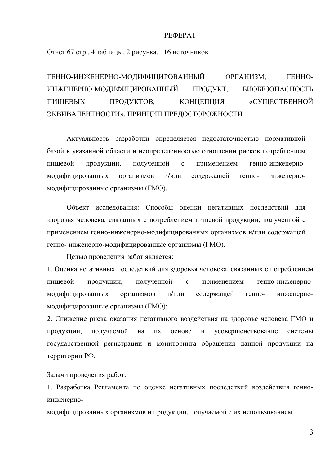#### PEФEPAT

Отчет 67 стр., 4 таблицы, 2 рисунка, 116 источников

ГЕННО-ИНЖЕНЕРНО-МОДИФИЦИРОВАННЫЙ ОРГАНИЗМ, ГЕННО-ИНЖЕНЕРНО-МОДИФИЦИРОВАННЫЙ ПРОДУКТ, БИОБЕЗОПАСНОСТЬ ПИЩЕВЫХ ПРОДУКТОВ, КОНЦЕПЦИЯ «СУЩЕСТВЕННОЙ ЭКВИВАЛЕНТНОСТИ», ПРИНЦИП ПРЕДОСТОРОЖНОСТИ

Актуальность разработки определяется недостаточностью нормативной базой в указанной области и неопределенностью отношении рисков потреблением пищевой продукции, полученной с применением генно-инженерномодифицированных организмов и/или содержащей генно- инженерномодифицированные организмы (ГМО).

Объект исследования: Способы оценки негативных последствий для здоровья человека, связанных с потреблением пищевой продукции, полученной с применением генно-инженерно-модифицированных организмов и/или содержащей генно- инженерно-модифицированные организмы (ГМО).

Целью проведения работ является:

1. Оценка негативных последствий для здоровья человека, связанных с потреблением пищевой продукции, полученной с применением генно-инженерномодифицированных организмов и/или содержащей генно- инженерномодифицированные организмы (ГМО);

2. Снижение риска оказания негативного воздействия на здоровье человека ГМО и продукции, получаемой на их основе и усовершенствование системы государственной регистрации и мониторинга обращения данной продукции на территории РФ.

Задачи проведения работ:

1. Разработка Регламента по оценке негативных последствий воздействия генноинженерно-

модифицированных организмов и продукции, получаемой с их использованием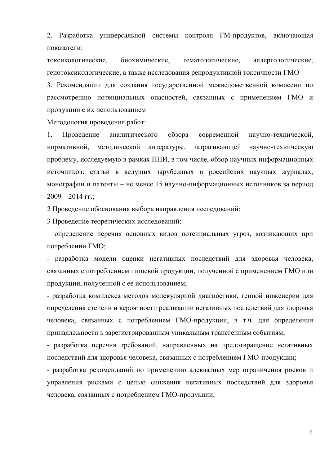2. Разработка универсальной системы контроля ГМ-продуктов, включающая показатели:

токсикологические, биохимические, гематологические, аллергологические, генотоксикологические, а также исследования репродуктивной токсичности ГМО

3. Рекомендации для создания государственной межведомственной комиссии по рассмотрению потенциальных опасностей, связанных с применением ГМО и продукции с их использованием

Методология проведения работ:

1. Проведение аналитического обзора современной научно-технической, нормативной, методической литературы, затрагивающей научно-техническую проблему, исследуемую в рамках ПНИ, в том числе, обзор научных информационных источников: статьи в ведущих зарубежных и российских научных журналах, монографии и патенты – не менее 15 научно-информационных источников за период  $2009 - 2014$  FF.;

2 Проведение обоснования выбора направления исследований;

3 Проведение теоретических исследований:

- определение перечня основных видов потенциальных угроз, возникающих при потреблении ГМО;

- разработка модели оценки негативных последствий для здоровья человека, связанных с потреблением пищевой продукции, полученной с применением ГМО или продукции, полученной с ее использованием;

- разработка комплекса методов молекулярной диагностики, генной инженерии для определения степени и вероятности реализации негативных последствий для здоровья человека, связанных с потреблением ГМО-продукции, в т.ч. для определения принадлежности к зарегистрированным уникальным трансгенным событиям;

- разработка перечня требований, направленных на предотвращение негативных последствий для здоровья человека, связанных с потреблением ГМО-продукции;

- разработка рекомендаций по применению адекватных мер ограничения рисков и управления рисками с целью снижения негативных последствий для здоровья человека, связанных с потреблением ГМО-продукции;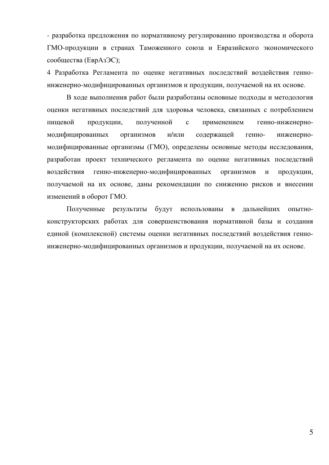- разработка предложения по нормативному регулированию производства и оборота ГМО-продукции в странах Таможенного союза и Евразийского экономического сообщества (ЕврАзЭС);

4 Разработка Регламента по оценке негативных последствий воздействия генноинженерно-модифицированных организмов и продукции, получаемой на их основе.

В ходе выполнения работ были разработаны основные подходы и методология оценки негативных последствий для здоровья человека, связанных с потреблением пищевой продукции, полученной с применением генно-инженерномодифицированных организмов и/или содержащей генно- инженерномодифицированные организмы (ГМО), определены основные методы исследования, разработан проект технического регламента по оценке негативных последствий воздействия генно-инженерно-модифицированных организмов и продукции, получаемой на их основе, даны рекомендации по снижению рисков и внесении изменений в оборот ГМО.

Полученные результаты будут использованы в дальнейших опытноконструкторских работах для совершенствования нормативной базы и создания единой (комплексной) системы оценки негативных последствий воздействия генноинженерно-модифицированных организмов и продукции, получаемой на их основе.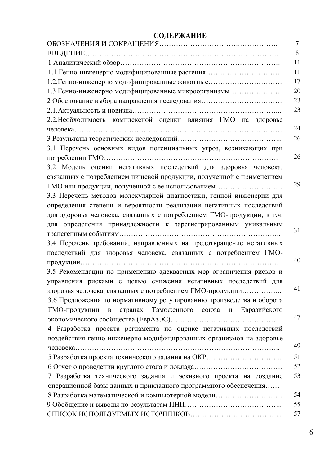## СОДЕРЖАНИЕ

|                                                                                                         | 7  |
|---------------------------------------------------------------------------------------------------------|----|
|                                                                                                         | 8  |
|                                                                                                         | 11 |
| 1.1 Генно-инженерно модифицированные растения                                                           | 11 |
| 1.2. Генно-инженерно модифицированные животные                                                          | 17 |
| 1.3 Генно-инженерно модифицированные микроорганизмы                                                     | 20 |
| 2 Обоснование выбора направления исследования                                                           | 23 |
|                                                                                                         | 23 |
| 2.2. Необходимость комплексной оценки влияния ГМО на здоровье                                           |    |
|                                                                                                         | 24 |
|                                                                                                         | 26 |
| 3.1 Перечень основных видов потенциальных угроз, возникающих при                                        |    |
|                                                                                                         | 26 |
| 3.2 Модель оценки негативных последствий для здоровья человека,                                         |    |
| связанных с потреблением пищевой продукции, полученной с применением                                    |    |
| ГМО или продукции, полученной с ее использованием                                                       | 29 |
| 3.3 Перечень методов молекулярной диагностики, генной инженерии для                                     |    |
| определения степени и вероятности реализации негативных последствий                                     |    |
| для здоровья человека, связанных с потреблением ГМО-продукции, в т.ч.                                   |    |
| для определения принадлежности к зарегистрированным уникальным                                          |    |
|                                                                                                         | 31 |
| 3.4 Перечень требований, направленных на предотвращение негативных                                      |    |
| последствий для здоровья человека, связанных с потреблением ГМО-                                        |    |
|                                                                                                         | 40 |
| 3.5 Рекомендации по применению адекватных мер ограничения рисков и                                      |    |
| управления рисками с целью снижения негативных последствий для                                          |    |
| здоровья человека, связанных с потреблением ГМО-продукции                                               | 41 |
| 3.6 Предложения по нормативному регулированию производства и оборота                                    |    |
| странах Таможенного союза<br>ГМО-продукции<br>Евразийского<br>$\, {\bf B}$<br>$\boldsymbol{\mathrm{M}}$ |    |
|                                                                                                         | 47 |
| 4 Разработка проекта регламента по оценке негативных последствий                                        |    |
| воздействия генно-инженерно-модифицированных организмов на здоровье                                     |    |
|                                                                                                         | 49 |
|                                                                                                         | 51 |
|                                                                                                         | 52 |
| 7 Разработка технического задания и эскизного проекта на создание                                       | 53 |
| операционной базы данных и прикладного программного обеспечения                                         |    |
| 8 Разработка математической и компьютерной модели                                                       | 54 |
|                                                                                                         | 55 |
|                                                                                                         | 57 |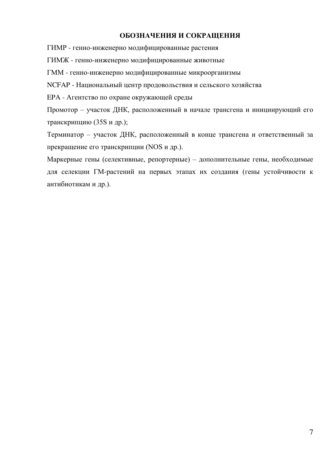### ОБОЗНАЧЕНИЯ И СОКРАЩЕНИЯ

ГИМР - генно-инженерно модифицированные растения

ГИМЖ - генно-инженерно модифицированные животные

ГММ - генно-инженерно модифицированные микроорганизмы

NCFAP - Национальный центр продовольствия и сельского хозяйства

ЕРА - Агентство по охране окружающей среды

Промотор – участок ДНК, расположенный в начале трансгена и инициирующий его транскрипцию (35S и др.);

Терминатор – участок ДНК, расположенный в конце трансгена и ответственный за прекращение его транскрипции (NOS и др.).

Маркерные гены (селективные, репортерные) – дополнительные гены, необходимые для селекции ГМ-растений на первых этапах их создания (гены устойчивости к антибиотикам и др.).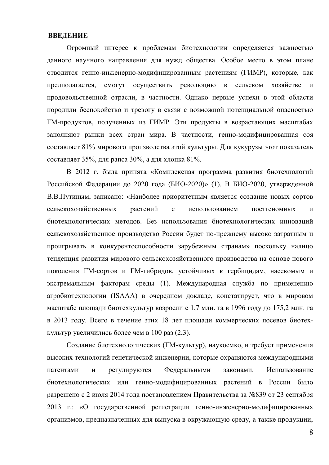#### **ВВЕДЕНИЕ**

Огромный интерес к проблемам биотехнологии определяется важностью данного научного направления для нужд общества. Особое место в этом плане отводится генно-инженерно-модифицированным растениям (ГИМР), которые, как предполагается, смогут осуществить революцию в сельском хозяйстве и продовольственной отрасли, в частности. Однако первые успехи в этой области породили беспокойство и тревогу в связи с возможной потенциальной опасностью ГМ-продуктов, полученных из ГИМР. Эти продукты в возрастающих масштабах заполняют рынки всех стран мира. В частности, генно-модифицированная соя составляет 81% мирового производства этой культуры. Для кукурузы этот показатель составляет 35%, для рапса 30%, а для хлопка 81%.

В 2012 г. была принята «Комплексная программа развития биотехнологий Российской Федерации до 2020 года (БИО-2020)» (1). В БИО-2020, утвержденной В.В. Путиным, записано: «Наиболее приоритетным является созлание новых сортов сельскохозяйственных растений с использованием постгеномных и биотехнологических методов. Без использования биотехнологических инноваций сельскохозяйственное производство России будет по-прежнему высоко затратным и проигрывать в конкурентоспособности зарубежным странам» поскольку налицо тенденция развития мирового сельскохозяйственного производства на основе нового поколения ГМ-сортов и ГМ-гибридов, устойчивых к гербицидам, насекомым и экстремальным факторам среды (1). Международная служба по применению агробиотехнологии (ISAAA) в очередном докладе, констатирует, что в мировом масштабе площади биотехкультур возросли с 1,7 млн. га в 1996 году до 175,2 млн. га в 2013 году. Всего в течение этих 18 лет площади коммерческих посевов биотехкультур увеличились более чем в 100 раз  $(2,3)$ .

Создание биотехнологических (ГМ-культур), наукоемко, и требует применения высоких технологий генетической инженерии, которые охраняются международными патентами и регулируются Федеральными законами. Использование биотехнологических или генно-модифицированных растений в России было разрешено с 2 июля 2014 года постановлением Правительства за №839 от 23 сентября 2013 г.: «О государственной регистрации генно-инженерно-модифицированных организмов, предназначенных для выпуска в окружающую среду, а также продукции,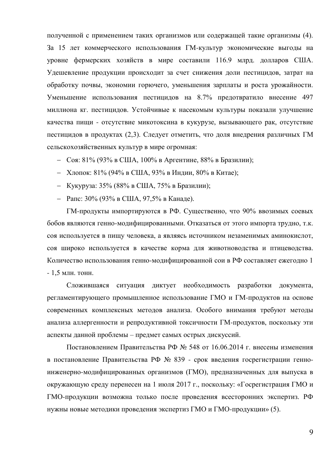полученной с применением таких организмов или содержащей такие организмы (4). За 15 лет коммерческого использования ГМ-культур экономические выгоды на уровне фермерских хозяйств в мире составили 116.9 млрд. долларов США. Удешевление продукции происходит за счет снижения доли пестицидов, затрат на обработку почвы, экономии горючего, уменьшения зарплаты и роста урожайности. Уменьшение использования пестицидов на 8.7% предотвратило внесение 497 миллиона кг. пестицидов. Устойчивые к насекомым культуры показали улучшение качества пищи - отсутствие микотоксина в кукурузе, вызывающего рак, отсутствие пестицидов в продуктах (2,3). Следует отметить, что доля внедрения различных ГМ сельскохозяйственных культур в мире огромная:

- Соя: 81% (93% в США, 100% в Аргентине, 88% в Бразилии);
- Хлопок: 81% (94% в США, 93% в Индии, 80% в Китае);
- Кукуруза: 35% (88% в США, 75% в Бразилии);
- Рапс: 30% (93% в США, 97,5% в Канаде).

ГМ-продукты импортируются в РФ. Существенно, что 90% ввозимых соевых бобов являются генно-модифицированными. Отказаться от этого импорта трудно, т.к. соя используется в пищу человека, а являясь источником незаменимых аминокислот, соя широко используется в качестве корма для животноводства и птицеводства. Количество использования генно-модифицированной сои в РФ составляет ежегодно 1  $- 1, 5$  млн. тонн.

Сложившаяся ситуация диктует необходимость разработки документа, регламентирующего промышленное использование ГМО и ГМ-продуктов на основе современных комплексных методов анализа. Особого внимания требуют методы анализа аллергенности и репродуктивной токсичности ГМ-продуктов, поскольку эти аспекты данной проблемы – предмет самых острых дискуссий.

Постановлением Правительства РФ № 548 от 16.06.2014 г. внесены изменения в постановление Правительства РФ № 839 - срок введения госрегистрации генноинженерно-модифицированных организмов (ГМО), предназначенных для выпуска в окружающую среду перенесен на 1 июля 2017 г., поскольку: «Госрегистрация ГМО и ГМО-продукции возможна только после проведения всесторонних экспертиз. РФ нужны новые методики проведения экспертиз ГМО и ГМО-продукции» (5).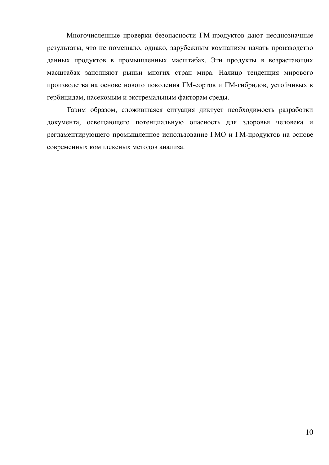Многочисленные проверки безопасности ГМ-продуктов дают неоднозначные результаты, что не помешало, однако, зарубежным компаниям начать производство данных продуктов в промышленных масштабах. Эти продукты в возрастающих масштабах заполняют рынки многих стран мира. Налицо тенденция мирового производства на основе нового поколения ГМ-сортов и ГМ-гибридов, устойчивых к гербицидам, насекомым и экстремальным факторам среды.

Таким образом, сложившаяся ситуация диктует необходимость разработки документа, освещающего потенциальную опасность для здоровья человека и регламентирующего промышленное использование ГМО и ГМ-продуктов на основе современных комплексных методов анализа.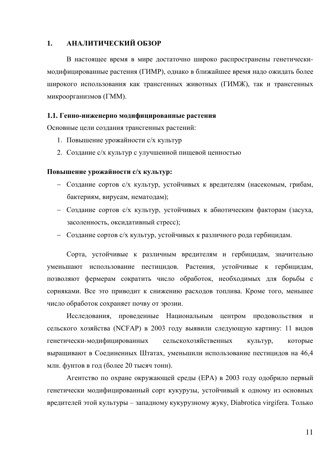### 1. АНАЛИТИЧЕСКИЙ ОБЗОР

В настоящее время в мире достаточно широко распространены генетическимодифицированные растения (ГИМР), однако в ближайшее время надо ожидать более широкого использования как трансгенных животных (ГИМЖ), так и трансгенных микроорганизмов (ГММ).

#### 1.1. Генно-инженерно модифицированные растения

Основные цели создания трансгенных растений:

- 1. Повышение урожайности с/х культур
- 2. Создание с/х культур с улучшенной пищевой ценностью

#### Повышение урожайности с/х культур:

- Создание сортов с/х культур, устойчивых к вредителям (насекомым, грибам, бактериям, вирусам, нематодам);
- Создание сортов с/х культур, устойчивых к абиотическим факторам (засуха, засоленность, оксидативный стресс);
- Создание сортов с/х культур, устойчивых к различного рода гербицидам.

Сорта, устойчивые к различным вредителям и гербицидам, значительно уменьшают использование пестицидов. Растения, устойчивые к гербицидам, позволяют фермерам сократить число обработок, необходимых для борьбы с сорняками. Все это приводит к снижению расходов топлива. Кроме того, меньшее число обработок сохраняет почву от эрозии.

Исследования, проведенные Национальным центром продовольствия и сельского хозяйства (NCFAP) в 2003 году выявили следующую картину: 11 видов генетически-модифицированных сельскохозяйственных культур, которые выращивают в Соединенных Штатах, уменьшили использование пестицидов на 46,4 млн. фунтов в год (более 20 тысяч тонн).

Агентство по охране окружающей среды (ЕРА) в 2003 году одобрило первый генетически модифицированный сорт кукурузы, устойчивый к одному из основных вредителей этой культуры – западному кукурузному жуку, Diabrotica virgifera. Только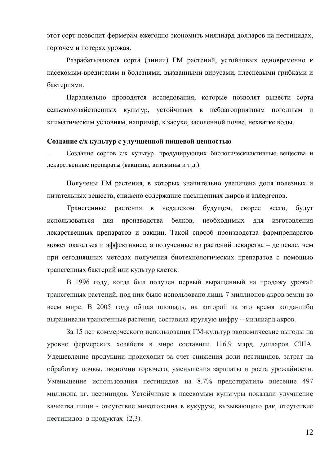этот сорт позволит фермерам ежегодно экономить миллиард долларов на пестицидах, горючем и потерях урожая.

Разрабатываются сорта (линии) ГМ растений, устойчивых одновременно к насекомым-вредителям и болезнями, вызванными вирусами, плесневыми грибками и бактериями.

Параллельно проводятся исследования, которые позволят вывести сорта сельскохозяйственных культур, устойчивых к неблагоприятным погодным и климатическим условиям, например, к засухе, засоленной почве, нехватке воды.

#### Создание с/х культур с улучшенной пищевой ценностью

Создание сортов с/х культур, продуцирующих биологическиактивные вещества и лекарственные препараты (вакцины, витамины и т.д.)

Получены ГМ растения, в которых значительно увеличена доля полезных и питательных веществ, снижено содержание насыщенных жиров и аллергенов.

Трансгенные растения в недалеком будущем, скорее всего, будут использоваться для производства белков, необходимых для изготовления лекарственных препаратов и вакцин. Такой способ производства фармпрепаратов может оказаться и эффективнее, а полученные из растений лекарства – дешевле, чем при сегодняшних методах получения биотехнологических препаратов с помощью трансгенных бактерий или культур клеток.

В 1996 году, когда был получен первый выращенный на продажу урожай трансгенных растений, под них было использовано лишь 7 миллионов акров земли во всем мире. В 2005 году общая площадь, на которой за это время когда-либо выращивали трансгенные растения, составила круглую цифру – миллиард акров.

За 15 лет коммерческого использования ГМ-культур экономические выгоды на уровне фермерских хозяйств в мире составили 116.9 млрд. долларов США. Удешевление продукции происходит за счет снижения доли пестицидов, затрат на обработку почвы, экономии горючего, уменьшения зарплаты и роста урожайности. Уменьшение использования пестицидов на 8.7% предотвратило внесение 497 миллиона кг. пестицидов. Устойчивые к насекомым культуры показали улучшение качества пищи - отсутствие микотоксина в кукурузе, вызывающего рак, отсутствие пестицидов в продуктах (2,3).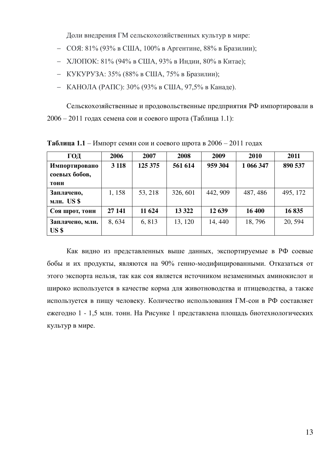Доли внедрения ГМ сельскохозяйственных культур в мире:

- $-$  СОЯ: 81% (93% в США, 100% в Аргентине, 88% в Бразилии);
- ХЛОПОК: 81% (94% в США, 93% в Индии, 80% в Китае);
- КУКУРУЗА: 35% (88% в США, 75% в Бразилии);
- КАНОЛА (РАПС): 30% (93% в США, 97,5% в Канаде).

Сельскохозяйственные и продовольственные предприятия РФ импортировали в  $2006 - 2011$  годах семена сои и соевого шрота (Таблица 1.1):

| ГОД                                    | 2006    | 2007    | 2008     | 2009     | 2010      | 2011     |
|----------------------------------------|---------|---------|----------|----------|-----------|----------|
| Импортировано<br>соевых бобов,<br>тонн | 3 1 1 8 | 125 375 | 561 614  | 959 304  | 1 066 347 | 890 537  |
| Заплачено,<br>млн. US\$                | 1, 158  | 53, 218 | 326, 601 | 442, 909 | 487, 486  | 495, 172 |
| Соя шрот, тонн                         | 27 141  | 11 624  | 13 3 22  | 12 639   | 16 400    | 16835    |
| Заплачено, млн.<br>US <sub>5</sub>     | 8,634   | 6,813   | 13, 120  | 14, 440  | 18,796    | 20, 594  |

**Таблица 1.1** – Импорт семян сои и соевого шрота в 2006 – 2011 годах

Как видно из представленных выше данных, экспортируемые в РФ соевые бобы и их продукты, являются на 90% генно-модифицированными. Отказаться от этого экспорта нельзя, так как соя является источником незаменимых аминокислот и широко используется в качестве корма для животноводства и птицеводства, а также используется в пищу человеку. Количество использования ГМ-сои в РФ составляет ежегодно 1 - 1,5 млн. тонн. На Рисунке 1 представлена площадь биотехнологических культур в мире.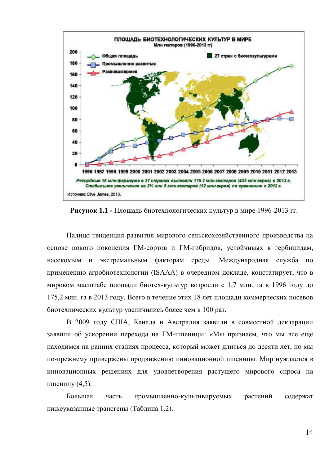

**Рисунок 1.1 - Площадь биотехнологических культур в мире 1996-2013 гг.** 

Налицо тенденция развития мирового сельскохозяйственного производства на основе нового поколения ГМ-сортов и ГМ-гибридов, устойчивых к гербицидам, насекомым и экстремальным факторам среды. Международная служба по применению агробиотехнологии (ISAAA) в очередном докладе, констатирует, что в мировом масштабе площади биотех-культур возросли с 1,7 млн. га в 1996 году до 175,2 млн. га в 2013 году. Всего в течение этих 18 лет площади коммерческих посевов биотехнических культур увеличились более чем в 100 раз.

В 2009 году США, Канада и Австралия заявили в совместной декларации заявили об ускорении перехода на ГМ-пшеницы: «Мы признаем, что мы все еще находимся на ранних стадиях процесса, который может длиться до десяти лет, но мы по-прежнему привержены продвижению инновационной пшеницы. Мир нуждается в инновационных решениях для удовлетворения растущего мирового спроса на пшеницу  $(4,5)$ .

Большая часть промышленно-культивируемых растений содержат нижеуказанные трансгены (Таблица 1.2).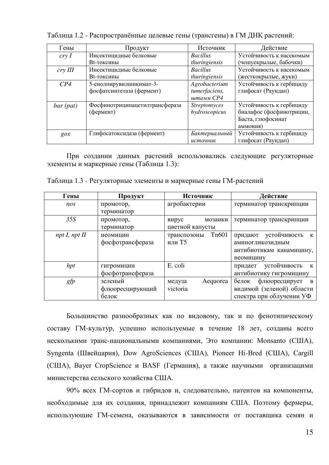| Гены              | Продукт                        | Источник            | Действие                 |
|-------------------|--------------------------------|---------------------|--------------------------|
| cryI              | Инсектицидные белковые         | <b>Bacillus</b>     | Устойчивость к насекомым |
|                   | Вt-токсины                     | thuringiensis       | (чешуекрылые, бабочки)   |
| $\frac{c}{V}$ III | Инсектицидные белковые         | <b>Bacillus</b>     | Устойчивость к насекомым |
|                   | Вt-токсины                     | thuringiensis       | (жесткокрылые, жуки)     |
| CP4               | 5-енолпирувилшикимат-3-        | Agrobacterium       | Устойчивость к гербициду |
|                   | фосфатсинтетаза (фермент)      | tumerfaciens,       | глифосат (Раундап)       |
|                   |                                | штамм СР4           |                          |
| $bar$ (pat)       | Фосфинотрицинацетилтрансфераза | <b>Streptomyces</b> | Устойчивость к гербициду |
|                   | (фермент)                      | hydroscopicus       | биалафос (фосфинотрицин, |
|                   |                                |                     | Баста, глюфосинат        |
|                   |                                |                     | аммония)                 |
| $g \circ x$       | Глифосатоксидаза (фермент)     | Бактериальный       | Устойчивость к гербициду |
|                   |                                | источник            | глифосат (Раундап)       |

Таблица 1.2 - Распространённые целевые гены (трансгены) в ГМ ДНК растений:

При создании данных растений использовались следующие регуляторные элементы и маркерные гены (Таблица 1.3):

| Гены             | Продукт          | Источник                          | Действие                     |  |
|------------------|------------------|-----------------------------------|------------------------------|--|
| nos              | промотор,        | агробактерии                      | терминатор транскрипции      |  |
|                  | терминатор       |                                   |                              |  |
| 35S              | промотор,        | вирус<br>мозаики                  | терминатор транскрипции      |  |
|                  | терминатор       | цветной капусты                   |                              |  |
| $npt I$ , npt II | неомицин         | T <sub>n</sub> 601<br>транспозоны | придают устойчивость<br>К    |  |
|                  | фосфотрансфераза | или Т5                            | аминогликозидным             |  |
|                  |                  |                                   | антибиотикам канамицину,     |  |
|                  |                  |                                   | неомицину                    |  |
| hpt              | гигромицин       | E. coli                           | устойчивость<br>придает<br>К |  |
|                  | фосфотрансфераза |                                   | антибиотику гигромицину      |  |
| gfp              | зеленый          | Aequorea<br>медуза                | флюоресцирует<br>белок<br>B  |  |
|                  | флюоресцирующий  | victoria                          | видимой (зеленой) области    |  |
|                  | белок            |                                   | спектра при облучении УФ     |  |

Таблица 1.3 - Регуляторные элементы и маркерные гены ГМ-растений

Большинство разнообразных как по видовому, так и по фенотипическому составу ГМ-культур, успешно используемые в течение 18 лет, созданы всего несколькими транс-национальными компаниями, Это компании: Monsanto (США), Syngenta (Швейцария), Dow AgroSciences (США), Pioneer Hi-Bred (США), Cargill (США), Bayer CropScience и BASF (Германия), а также научными организацими министерства сельского хозяйства США.

90% всех ГМ-сортов и гибридов и, следовательно, патентов на компоненты, необходимые для их создания, принадлежит компаниям США. Поэтому фермеры, использующие ГМ-семена, оказываются в зависимости от поставщика семян и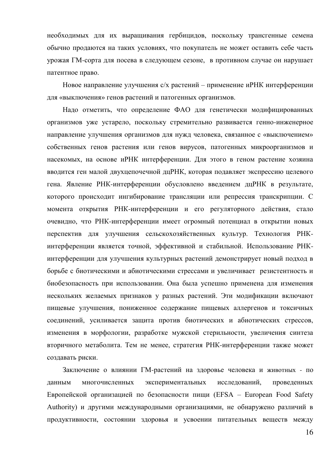необходимых для их выращивания гербицидов, поскольку трансгенные семена обычно продаются на таких условиях, что покупатель не может оставить себе часть урожая ГМ-сорта для посева в следующем сезоне, в противном случае он нарушает патентное право.

Новое направление улучшения с/х растений – применение иРНК интерференции для «выключения» генов растений и патогенных организмов.

Надо отметить, что определение ФАО для генетически модифицированных организмов уже устарело, поскольку стремительно развивается генно-инженерное направление улучшения организмов для нужд человека, связанное с «выключением» собственных генов растения или генов вирусов, патогенных микроорганизмов и насекомых, на основе иРНК интерференции. Для этого в геном растение хозяина вводится ген малой двухцепочечной дцРНК, которая подавляет экспрессию целевого гена. Явление РНК-интерференции обусловлено введением дцРНК в результате, которого происходит ингибирование трансляции или репрессия транскрипции. С момента открытия РНК-интерференции и его регуляторного действия, стало очевидно, что РНК-интерференции имеет огромный потенциал в открытии новых перспектив для улучшения сельскохозяйственных культур. Технология РНКинтерференции является точной, эффективной и стабильной. Использование РНКинтерференции для улучшения культурных растений демонстрирует новый подход в борьбе с биотическими и абиотическими стрессами и увеличивает резистентность и биобезопасность при использовании. Она была успешно применена для изменения нескольких желаемых признаков у разных растений. Эти модификации включают пищевые улучшения, пониженное содержание пищевых аллергенов и токсичных соединений, усиливается защита против биотических и абиотических стрессов, изменения в морфологии, разработке мужской стерильности, увеличения синтеза вторичного метаболита. Тем не менее, стратегия РНК-интерференции также может создавать риски.

Заключение о влиянии ГМ-растений на здоровье человека и животных - по данным многочисленных экспериментальных исследований, проведенных Европейской организацией по безопасности пищи (EFSA – European Food Safety Authority) и другими международными организациями, не обнаружено различий в продуктивности, состоянии здоровья и усвоении питательных веществ между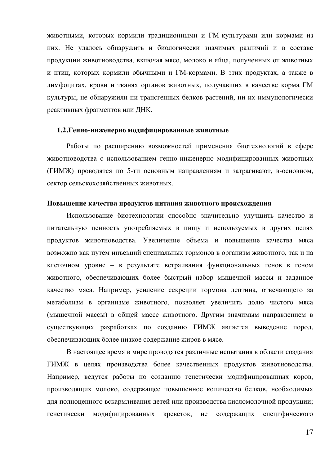животными, которых кормили традиционными и ГМ-культурами или кормами из них. Не удалось обнаружить и биологически значимых различий и в составе продукции животноводства, включая мясо, молоко и яйца, полученных от животных и птиц, которых кормили обычными и ГМ-кормами. В этих продуктах, а также в лимфоцитах, крови и тканях органов животных, получавших в качестве корма ГМ культуры, не обнаружили ни трансгенных белков растений, ни их иммунологически реактивных фрагментов или ДНК.

#### 1.2. Генно-инженерно модифицированные животные

Работы по расширению возможностей применения биотехнологий в сфере животноводства с использованием генно-инженерно модифицированных животных (ГИМЖ) проводятся по 5-ти основным направлениям и затрагивают, в-основном, сектор сельскохозяйственных животных.

#### Повышение качества продуктов питания животного происхождения

Использование биотехнологии способно значительно улучшить качество и питательную ценность употребляемых в пищу и используемых в других целях продуктов животноводства. Увеличение объема и повышение качества мяса возможно как путем инъекций специальных гормонов в организм животного, так и на клеточном уровне – в результате встраивания функциональных генов в геном животного, обеспечивающих более быстрый набор мышечной массы и заданное качество мяса. Например, усиление секреции гормона лептина, отвечающего за метаболизм в организме животного, позволяет увеличить долю чистого мяса (мышечной массы) в общей массе животного. Другим значимым направлением в существующих разработках по созданию ГИМЖ является выведение пород, обеспечивающих более низкое содержание жиров в мясе.

В настоящее время в мире проводятся различные испытания в области создания ГИМЖ в целях производства более качественных продуктов животноводства. Например, ведутся работы по созданию генетически модифицированных коров, производящих молоко, содержащее повышенное количество белков, необходимых для полноценного вскармливания детей или производства кисломолочной продукции; генетически модифицированных креветок, не содержащих специфического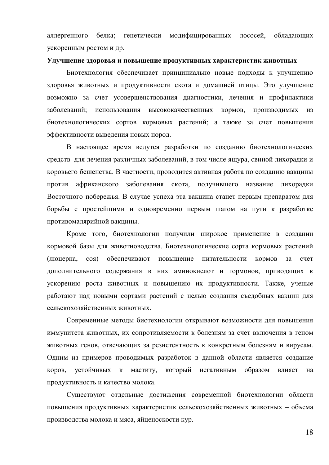аллергенного белка; генетически модифицированных лососей, обладающих ускоренным ростом и др.

#### **Улучшение здоровья и повышение продуктивных характеристик животных**

Биотехнология обеспечивает принципиально новые подходы к улучшению здоровья животных и продуктивности скота и домашней птицы. Это улучшение возможно за счет усовершенствования диагностики, лечения и профилактики заболеваний; использования высококачественных кормов, производимых из биотехнологических сортов кормовых растений; а также за счет повышения эффективности выведения новых пород.

В настоящее время ведутся разработки по созданию биотехнологических средств для лечения различных заболеваний, в том числе ящура, свиной лихорадки и коровьего бешенства. В частности, проводится активная работа по созданию вакцины против африканского заболевания скота, получившего название лихорадки Восточного побережья. В случае успеха эта вакцина станет первым препаратом для борьбы с простейшими и одновременно первым шагом на пути к разработке противомалярийной вакцины.

Кроме того, биотехнологии получили широкое применение в создании кормовой базы для животноводства. Биотехнологические сорта кормовых растений (люцерна, соя) обеспечивают повышение питательности кормов за счет дополнительного содержания в них аминокислот и гормонов, приводящих к ускорению роста животных и повышению их продуктивности. Также, ученые работают над новыми сортами растений с целью создания съедобных вакцин для сельскохозяйственных животных

Современные методы биотехнологии открывают возможности для повышения иммунитета животных, их сопротивляемости к болезням за счет включения в геном животных генов, отвечающих за резистентность к конкретным болезням и вирусам. Одним из примеров проводимых разработок в данной области является создание коров, устойчивых к маститу, который негативным образом влияет на продуктивность и качество молока.

Существуют отдельные достижения современной биотехнологии области повышения продуктивных характеристик сельскохозяйственных животных – объема производства молока и мяса, яйценоскости кур.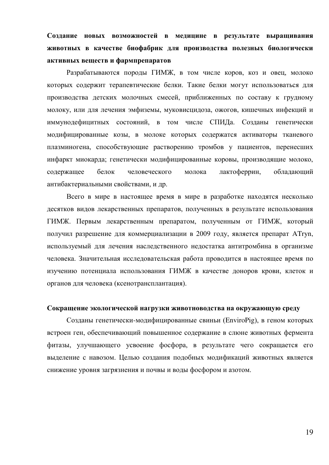Создание новых возможностей в медицине в результате выращивания **ЖИВОТНЫХ В КАЧЕСТВЕ бИОФАбрик ДЛЯ ПРОИЗВОДСТВА ПОЛЕЗНЫХ бИОЛОГИЧЕСКИ** активных веществ и фармпрепаратов

Разрабатываются породы ГИМЖ, в том числе коров, коз и овец, молоко которых содержит терапевтические белки. Такие белки могут использоваться для производства детских молочных смесей, приближенных по составу к грудному молоку, или для лечения эмфиземы, муковисцидоза, ожогов, кишечных инфекций и иммунодефицитных состояний, в том числе СПИДа. Созданы генетически модифицированные козы, в молоке которых содержатся активаторы тканевого плазминогена, способствующие растворению тромбов у пациентов, перенесших инфаркт миокарда; генетически модифицированные коровы, производящие молоко, содержащее белок человеческого молока лактоферрин, обладающий антибактериальными свойствами, и др.

Всего в мире в настоящее время в мире в разработке находятся несколько десятков видов лекарственных препаратов, полученных в результате использования ГИМЖ. Первым лекарственным препаратом, полученным от ГИМЖ, который получил разрешение для коммерциализации в 2009 году, является препарат ATryn, используемый для лечения наследственного недостатка антитромбина в организме человека. Значительная исследовательская работа проводится в настоящее время по изучению потенциала использования ГИМЖ в качестве доноров крови, клеток и органов для человека (ксенотрансплантация).

#### Сокращение экологической нагрузки животноводства на окружающую среду

Созданы генетически-модифицированные свиньи (EnviroPig), в геном которых встроен ген, обеспечивающий повышенное содержание в слюне животных фермента фитазы, улучшающего усвоение фосфора, в результате чего сокращается его выделение с навозом. Целью создания подобных модификаций животных является снижение уровня загрязнения и почвы и воды фосфором и азотом.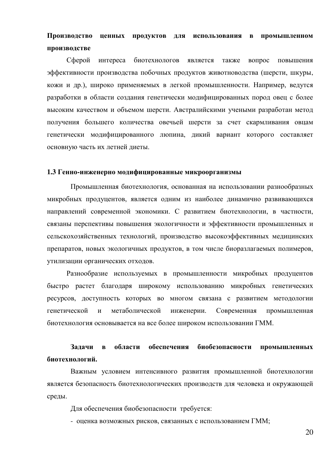# Производство ценных продуктов для использования в промышленном производстве

Сферой интереса биотехнологов является также вопрос повышения эффективности производства побочных продуктов животноводства (шерсти, шкуры, кожи и др.), широко применяемых в легкой промышленности. Например, ведутся разработки в области создания генетически модифицированных пород овец с более высоким качеством и объемом шерсти. Австралийскими учеными разработан метод получения большего количества овечьей шерсти за счет скармливания овцам генетически модифицированного люпина, дикий вариант которого составляет основную часть их летней диеты.

#### 1.3 Генно-инженерно модифицированные микроорганизмы

Промышленная биотехнология, основанная на использовании разнообразных микробных продуцентов, является одним из наиболее динамично развивающихся направлений современной экономики. С развитием биотехнологии, в частности, связаны перспективы повышения экологичности и эффективности промышленных и сельскохозяйственных технологий, производство высокоэффективных медицинских препаратов, новых экологичных продуктов, в том числе биоразлагаемых полимеров, утилизации органических отходов.

Разнообразие используемых в промышленности микробных продуцентов быстро растет благодаря широкому использованию микробных генетических ресурсов, доступность которых во многом связана с развитием методологии генетической и метаболической инженерии. Современная промышленная биотехнология основывается на все более широком использовании ГММ.

## Задачи в области обеспечения биобезопасности промышленных биотехнологий.

Важным условием интенсивного развития промышленной биотехнологии является безопасность биотехнологических производств для человека и окружающей среды.

Для обеспечения биобезопасности требуется:

- оценка возможных рисков, связанных с использованием ГММ;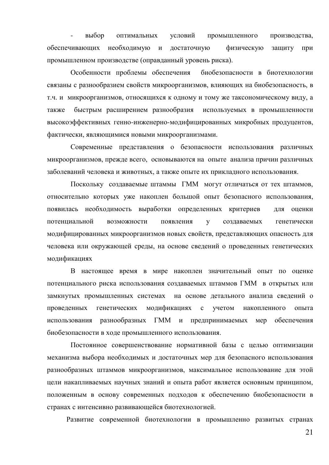выбор оптимальных условий промышленного производства, обеспечивающих необходимую и достаточную физическую защиту при промышленном производстве (оправданный уровень риска).

Особенности проблемы обеспечения биобезопасности в биотехнологии связаны с разнообразием свойств микроорганизмов, влияющих на биобезопасность, в т.ч. и микроорганизмов, относящихся к одному и тому же таксономическому виду, а также быстрым расширением разнообразия используемых в промышленности высокоэффективных генно-инженерно-модифицированных микробных продуцентов, фактически, являющимися новыми микроорганизмами.

Современные представления о безопасности использования различных микроорганизмов, прежде всего, основываются на опыте анализа причин различных заболеваний человека и животных, а также опыте их прикладного использования.

Поскольку создаваемые штаммы ГММ могут отличаться от тех штаммов, относительно которых уже накоплен большой опыт безопасного использования, появилась необходимость выработки определенных критериев для оценки потенциальной возможности появления у создаваемых генетически модифицированных микроорганизмов новых свойств, представляющих опасность для человека или окружающей среды, на основе сведений о проведенных генетических модификациях

В настоящее время в мире накоплен значительный опыт по оценке потенциального риска использования создаваемых штаммов ГММ в открытых или замкнутых промышленных системах на основе детального анализа сведений о проведенных генетических модификациях с учетом накопленного опыта использования разнообразных ГММ и предпринимаемых мер обеспечения биобезопасности в ходе промышленного использования.

Постоянное совершенствование нормативной базы с целью оптимизации механизма выбора необходимых и достаточных мер для безопасного использования разнообразных штаммов микроорганизмов, максимальное использование для этой цели накапливаемых научных знаний и опыта работ является основным принципом, положенным в основу современных подходов к обеспечению биобезопасности в странах с интенсивно развивающейся биотехнологией.

Развитие современной биотехнологии в промышленно развитых странах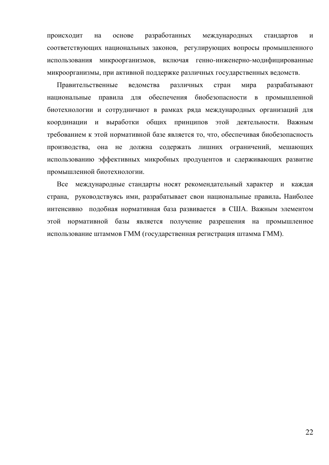происходит на основе разработанных международных стандартов и соответствующих национальных законов, регулирующих вопросы промышленного использования микроорганизмов, включая генно-инженерно-модифицированные микроорганизмы, при активной поддержке различных государственных ведомств.

Правительственные ведомства различных стран мира разрабатывают национальные правила для обеспечения биобезопасности в промышленной биотехнологии и сотрудничают в рамках ряда международных организаций для координации и выработки общих принципов этой деятельности. Важным требованием к этой нормативной базе является то, что, обеспечивая биобезопасность производства, она не должна содержать лишних ограничений, мешающих использованию эффективных микробных продуцентов и сдерживающих развитие промышленной биотехнологии.

Все международные стандарты носят рекомендательный характер и каждая страна, руководствуясь ими, разрабатывает свои национальные правила. Наиболее интенсивно подобная нормативная база развивается в США. Важным элементом этой нормативной базы является получение разрешения на промышленное использование штаммов ГММ (государственная регистрация штамма ГММ).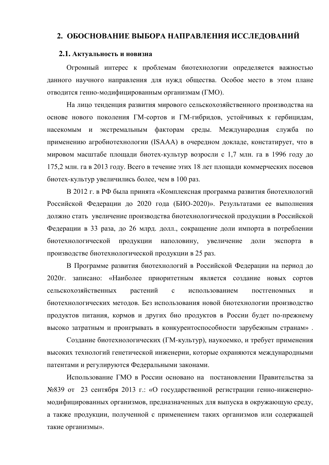## 2. ОБОСНОВАНИЕ ВЫБОРА НАПРАВЛЕНИЯ ИССЛЕДОВАНИЙ

#### 2.1. Актуальность и новизна

Огромный интерес к проблемам биотехнологии определяется важностью данного научного направления для нужд общества. Особое место в этом плане отводится генно-модифицированным организмам (ГМО).

На лицо тенденция развития мирового сельскохозяйственного производства на основе нового поколения ГМ-сортов и ГМ-гибридов, устойчивых к гербицидам, насекомым и экстремальным факторам среды. Международная служба по применению агробиотехнологии (ISAAA) в очередном докладе, констатирует, что в мировом масштабе плошали биотех-культур возросли с 1.7 млн. га в 1996 году до 175,2 млн. га в 2013 году. Всего в течение этих 18 лет площади коммерческих посевов биотех-культур увеличились более, чем в 100 раз.

В 2012 г. в РФ была принята «Комплексная программа развития биотехнологий Российской Федерации до 2020 года (БИО-2020)». Результатами ее выполнения должно стать увеличение производства биотехнологической продукции в Российской Федерации в 33 раза, до 26 млрд. долл., сокращение доли импорта в потреблении биотехнологической продукции наполовину, увеличение доли экспорта в производстве биотехнологической продукции в 25 раз.

В Программе развития биотехнологий в Российской Федерации на период до 2020г. записано: «Наиболее приоритетным является создание новых сортов сельскохозяйственных растений с использованием постгеномных и биотехнологических методов. Без использования новой биотехнологии производство продуктов питания, кормов и других био продуктов в России будет по-прежнему высоко затратным и проигрывать в конкурентоспособности зарубежным странам».

Создание биотехнологических (ГМ-культур), наукоемко, и требует применения высоких технологий генетической инженерии, которые охраняются международными патентами и регулируются Федеральными законами.

Использование ГМО в России основано на постановлении Правительства за №839 от 23 сентября 2013 г.: «О государственной регистрации генно-инженерномодифицированных организмов, предназначенных для выпуска в окружающую среду, а также продукции, полученной с применением таких организмов или содержащей такие организмы».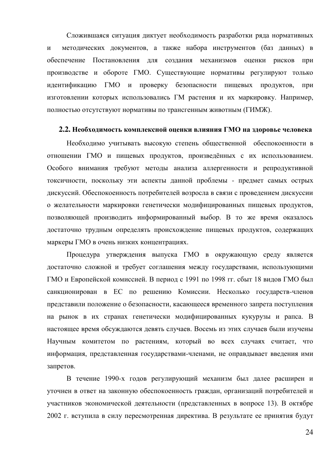Сложившаяся ситуация диктует необходимость разработки ряда нормативных и методических документов, а также набора инструментов (баз данных) в обеспечение Постановления для создания механизмов оценки рисков при производстве и обороте ГМО. Существующие нормативы регулируют только идентификацию ГМО и проверку безопасности пищевых продуктов, при изготовлении которых использовались ГМ растения и их маркировку. Например, полностью отсутствуют нормативы по трансгенным животным (ГИМЖ).

#### 2.2. Необходимость комплексной оценки влияния ГМО на здоровье человека

Необходимо учитывать высокую степень общественной обеспокоенности в отношении ГМО и пищевых продуктов, произведённых с их использованием. Особого внимания требуют методы анализа аллергенности и репродуктивной токсичности, поскольку эти аспекты данной проблемы - предмет самых острых дискуссий. Обеспокоенность потребителей возросла в связи с проведением дискуссии о желательности маркировки генетически модифицированных пищевых продуктов, позволяющей производить информированный выбор. В то же время оказалось достаточно трудным определять происхождение пищевых продуктов, содержащих маркеры ГМО в очень низких концентрациях.

Процедура утверждения выпуска ГМО в окружающую среду является достаточно сложной и требует соглашения между государствами, использующими ГМО и Европейской комиссией. В период с 1991 по 1998 гг. сбыт 18 видов ГМО был санкционирован в ЕС по решению Комиссии. Несколько государств-членов представили положение о безопасности, касающееся временного запрета поступления на рынок в их странах генетически модифицированных кукурузы и рапса. В настоящее время обсуждаются девять случаев. Восемь из этих случаев были изучены Научным комитетом по растениям, который во всех случаях считает, что информация, представленная государствами-членами, не оправдывает введения ими запретов.

В течение 1990-х годов регулирующий механизм был далее расширен и уточнен в ответ на законную обеспокоенность граждан, организаций потребителей и участников экономической деятельности (представленных в вопросе 13). В октябре 2002 г. вступила в силу пересмотренная директива. В результате ее принятия будут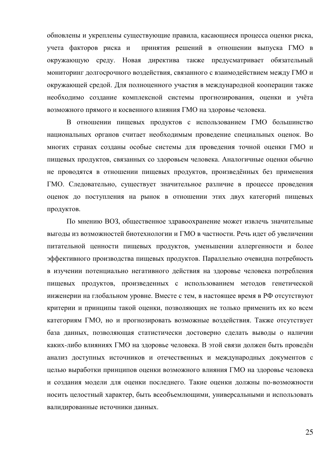обновлены и укреплены существующие правила, касающиеся процесса оценки риска, учета факторов риска и принятия решений в отношении выпуска ГМО в окружающую среду. Новая директива также предусматривает обязательный мониторинг долгосрочного воздействия, связанного с взаимодействием между ГМО и окружающей средой. Для полноценного участия в международной кооперации также необходимо создание комплексной системы прогнозирования, оценки и учёта возможного прямого и косвенного влияния ГМО на здоровье человека.

В отношении пищевых продуктов с использованием ГМО большинство национальных органов считает необходимым проведение специальных оценок. Во многих странах созданы особые системы для проведения точной оценки ГМО и пищевых продуктов, связанных со здоровьем человека. Аналогичные оценки обычно не проводятся в отношении пищевых продуктов, произведённых без применения ГМО. Следовательно, существует значительное различие в процессе проведения оценок до поступления на рынок в отношении этих двух категорий пищевых продуктов.

По мнению ВОЗ, общественное здравоохранение может извлечь значительные выгоды из возможностей биотехнологии и ГМО в частности. Речь идет об увеличении питательной ценности пищевых продуктов, уменьшении аллергенности и более эффективного производства пищевых продуктов. Параллельно очевидна потребность в изучении потенциально негативного действия на здоровье человека потребления пищевых продуктов, произведенных с использованием методов генетической инженерии на глобальном уровне. Вместе с тем, в настоящее время в РФ отсутствуют критерии и принципы такой оценки, позволяющих не только применить их ко всем категориям ГМО, но и прогнозировать возможные воздействия. Также отсутствует база данных, позволяющая статистически достоверно сделать выводы о наличии каких-либо влияниях ГМО на здоровье человека. В этой связи должен быть проведён анализ доступных источников и отечественных и международных документов с целью выработки принципов оценки возможного влияния ГМО на здоровье человека и создания модели для оценки последнего. Такие оценки должны по-возможности носить целостный характер, быть всеобъемлющими, универсальными и использовать валидированные источники данных.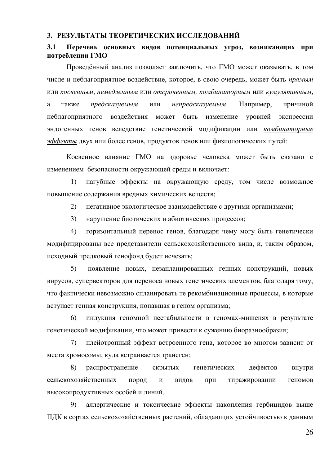#### 3. РЕЗУЛЬТАТЫ ТЕОРЕТИЧЕСКИХ ИССЛЕДОВАНИЙ

### 3.1 Перечень основных видов потенциальных угроз, возникающих при потреблении ГМО

Проведённый анализ позволяет заключить, что ГМО может оказывать, в том числе и неблагоприятное воздействие, которое, в свою очередь, может быть *прямым* или косвенным, немедленным или отсроченным, комбинаторным или кумулятивным, а также *предсказуемым* или непредсказуемым. Например, причиной неблагоприятного воздействия может быть изменение уровней экспрессии эндогенных генов вследствие генетической модификации или комбинаторные *эффекты* двух или более генов, продуктов генов или физиологических путей:

Косвенное влияние ГМО на здоровье человека может быть связано с изменением безопасности окружающей среды и включает:

1) пагубные эффекты на окружающую среду, том числе возможное повышение содержания вредных химических веществ;

2) негативное экологическое взаимодействие с другими организмами;

3) нарушение биотических и абиотических процессов;

4) горизонтальный перенос генов, благодаря чему могу быть генетически модифицированы все представители сельскохозяйственного вида, и, таким образом, исходный предковый генофонд будет исчезать;

5) появление новых, незапланированных генных конструкций, новых вирусов, супервекторов для переноса новых генетических элементов, благодаря тому, что фактически невозможно спланировать те рекомбинационные процессы, в которые вступает генная конструкция, попавшая в геном организма;

6) индукция геномной нестабильности в геномах-мишенях в результате генетической модификации, что может привести к сужению биоразнообразия;

7) плейотропный эффект встроенного гена, которое во многом зависит от места хромосомы, куда встраивается трансген;

8) распространение скрытых генетических дефектов внутри сельскохозяйственных пород и видов при тиражировании геномов высокопродуктивных особей и линий.

9) аллергические и токсические эффекты накопления гербицидов выше ПДК в сортах сельскохозяйственных растений, обладающих устойчивостью к данным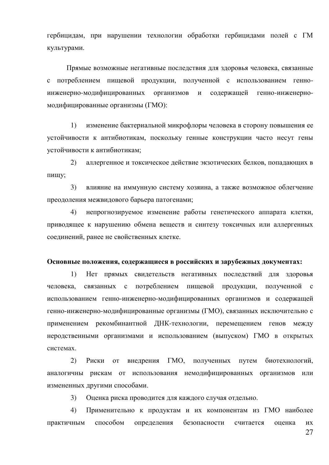гербицидам, при нарушении технологии обработки гербицидами полей с ГМ культурами.

Прямые возможные негативные последствия для здоровья человека, связанные с потреблением пищевой продукции, полученной с использованием генноинженерно-модифицированных организмов и содержащей генно-инженерномодифицированные организмы (ГМО):

1) изменение бактериальной микрофлоры человека в сторону повышения ее устойчивости к антибиотикам, поскольку генные конструкции часто несут гены устойчивости к антибиотикам;

2) аллергенное и токсическое действие экзотических белков, попадающих в пищу;

3) влияние на иммунную систему хозяина, а также возможное облегчение преодоления межвидового барьера патогенами;

4) непрогнозируемое изменение работы генетического аппарата клетки, приводящее к нарушению обмена веществ и синтезу токсичных или аллергенных соединений, ранее не свойственных клетке.

#### Основные положения, содержащиеся в российских и зарубежных документах:

1) Нет прямых свидетельств негативных последствий для здоровья человека, связанных с потреблением пищевой продукции, полученной с использованием генно-инженерно-модифицированных организмов и содержащей генно-инженерно-модифицированные организмы (ГМО), связанных исключительно с применением рекомбинантной ДНК-технологии, перемещением генов между неродственными организмами и использованием (выпуском) ГМО в открытых системах.

2) Риски от внедрения ГМО, полученных путем биотехнологий, аналогичны рискам от использования немодифицированных организмов или измененных другими способами.

3) Оценка риска проводится для каждого случая отдельно.

4) Применительно к продуктам и их компонентам из ГМО наиболее практичным способом определения безопасности считается оценка их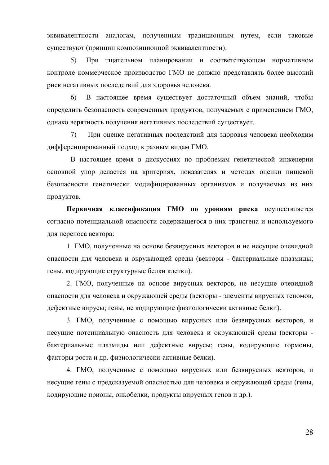эквивалентности аналогам, полученным традиционным путем, если таковые существуют (принцип композиционной эквивалентности).

5) При тщательном планировании и соответствующем нормативном контроле коммерческое производство ГМО не должно представлять более высокий риск негативных последствий для здоровья человека.

6) В настоящее время существует достаточный объем знаний, чтобы определить безопасность современных продуктов, получаемых с применением ГМО, однако верятность получения негативных последствий существует.

7) При оценке негативных последствий для здоровья человека необходим дифференцированный подход к разным видам ГМО.

В настоящее время в дискуссиях по проблемам генетической инженерии основной упор делается на критериях, показателях и методах оценки пищевой безопасности генетически модифицированных организмов и получаемых из них продуктов.

Первичная классификация ГМО по уровням риска осуществляется согласно потенциальной опасности содержащегося в них трансгена и используемого для переноса вектора:

1. ГМО, полученные на основе безвирусных векторов и не несущие очевидной опасности для человека и окружающей среды (векторы - бактериальные плазмиды; гены, кодирующие структурные белки клетки).

2. ГМО, полученные на основе вирусных векторов, не несущие очевидной опасности для человека и окружающей среды (векторы - элементы вирусных геномов, дефектные вирусы; гены, не кодирующие физиологически активные белки).

3. ГМО, полученные с помощью вирусных или безвирусных векторов, и несущие потенциальную опасность для человека и окружающей среды (векторы бактериальные плазмиды или дефектные вирусы; гены, кодирующие гормоны, факторы роста и др. физиологически-активные белки).

4. ГМО, полученные с помощью вирусных или безвирусных векторов, и несущие гены с предсказуемой опасностью для человека и окружающей среды (гены, кодирующие прионы, онкобелки, продукты вирусных генов и др.).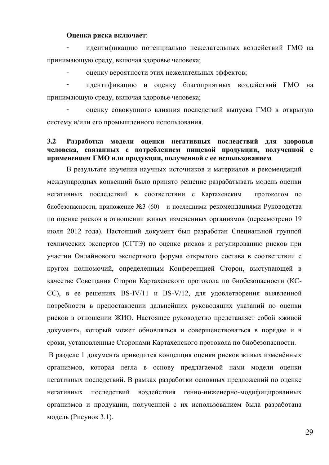#### **Оценка риска включает:**

идентификацию потенциально нежелательных воздействий ГМО на принимающую среду, включая здоровье человека;

оценку вероятности этих нежелательных эффектов;

идентификацию и оценку благоприятных воздействий ГМО на принимающую среду, включая здоровье человека;

оценку совокупного влияния последствий выпуска ГМО в открытую систему и/или его промышленного использования.

### 3.2 Разработка модели оценки негативных последствий для здоровья человека, связанных с потреблением пищевой продукции, полученной с применением ГМО или продукции, полученной с ее использованием

В результате изучения научных источников и материалов и рекомендаций международных конвенций было принято решение разрабатывать модель оценки негативных последствий в соответствии с Картахенским протоколом по биобезопасности, приложение №3 (60) и последними рекомендациями Руководства по оценке рисков в отношении живых измененных организмов (пересмотрено 19 июля 2012 года). Настоящий документ был разработан Специальной группой технических экспертов (СГТЭ) по оценке рисков и регулированию рисков при участии Онлайнового экспертного форума открытого состава в соответствии с кругом полномочий, определенным Конференцией Сторон, выступающей в качестве Совещания Сторон Картахенского протокола по биобезопасности (КС- $CC$ ), в ее решениях BS-IV/11 и BS-V/12, для удовлетворения выявленной потребности в предоставлении дальнейших руководящих указаний по оценки рисков в отношении ЖИО. Настоящее руководство представляет собой «живой документ», который может обновляться и совершенствоваться в порядке и в сроки, установленные Сторонами Картахенского протокола по биобезопасности.

В разделе 1 документа приводится концепция оценки рисков живых изменённых организмов, которая легла в основу предлагаемой нами модели оценки негативных последствий. В рамках разработки основных предложений по оценке негативных последствий воздействия генно-инженерно-модифицированных организмов и продукции, полученной с их использованием была разработана модель (Рисунок 3.1).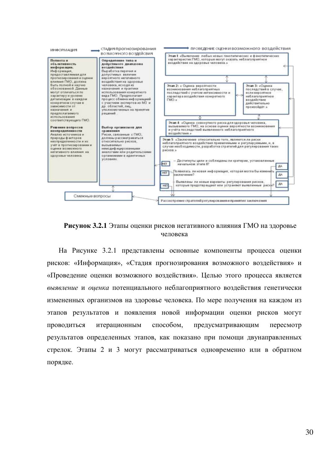



На Рисунке 3.2.1 представлены основные компоненты процесса оценки рисков: «Информация», «Стадия прогнозирования возможного воздействия» и «Проведение оценки возможного воздействия». Целью этого процесса является выявление и оиенка потенциального неблагоприятного воздействия генетически измененных организмов на злоровье человека. По мере получения на кажлом из этапов результатов и появления новой информации оценки рисков могут проводиться итерационным способом, предусматривающим пересмотр результатов определенных этапов, как показано при помощи двунаправленных стрелок. Этапы 2 и 3 могут рассматриваться одновременно или в обратном порядке.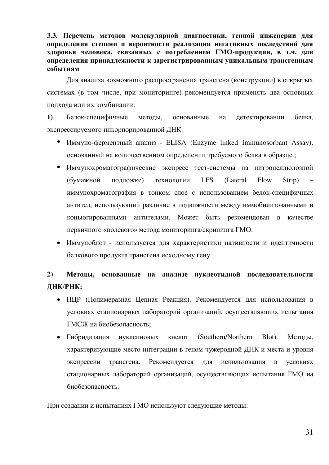3.3. Перечень методов молекулярной диагностики, генной инженерии для **определения степени и вероятности реализации негативных последствий для** здоровья человека, связанных с потреблением ГМО-продукции, в т.ч. для **определения принадлежности к зарегистрированным уникальным трансгенным** событиям

Для анализа возможного распространения трансгена (конструкции) в открытых системах (в том числе, при мониторинге) рекомендуется применять два основных подхода или их комбинации:

1) Белок-специфичные методы, основанные на детектировании белка, экспрессируемого инкорпорированной ДНК:

- Иммуно-ферментный анализ ELISA (Enzyme linked Immunosorbant Assay), основанный на количественном определении требуемого белка в образце.;
- Иммунохроматографические экспресс тест-системы на нитроцеллюлозной (бумажной подложке) технологии LFS (Lateral Flow Strip) иммунохроматография в тонком слое с использованием белок-специфичных антител, использующий различие в подвижности между иммобилизованными и коньюгированными антителами. Может быть рекомендован в качестве первичного «полевого» метода мониторинга/скрининга ГМО.
- Иммуноблот используется для характеристики нативности и идентичности белкового продукта трансгена исходному гену.

# 2) Методы, основанные на анализе нуклеотидной последовательности ДНК/РНК:

- ПЦР (Полимеразная Цепная Реакция). Рекомендуется для использования в условиях стационарных лабораторий организаций, осуществляющих испытания ГМСЖ на биобезопасность:
- Гибридизация нуклеиновых кислот (Southern/Northern Blot). Методы, характеризующие место интеграции в геном чужеродной ДНК и места и уровня экспрессии трансгена. Рекомендуется для использования в условиях стационарных лабораторий организаций, осуществляющих испытания ГМО на биобезопасность.

При создании и испытаниях ГМО используют следующие методы: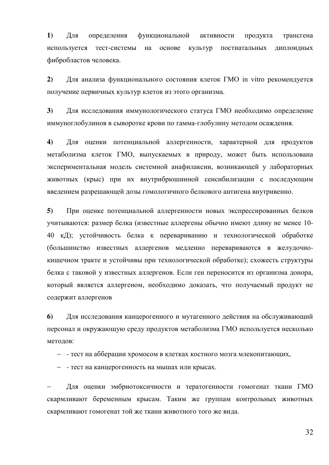1) Для определения функциональной активности продукта трансгена используется тест-системы на основе культур постнатальных диплоидных фибробластов человека.

2) Для анализа функционального состояния клеток ГМО in vitro рекомендуется получение первичных культур клеток из этого организма.

3) Для исследования иммунологического статуса ГМО необходимо определение иммуноглобулинов в сыворотке крови по гамма-глобулину методом осаждения.

4) Для оценки потенциальной аллергенности, характерной для продуктов метаболизма клеток ГМО, выпускаемых в природу, может быть использована экспериментальная модель системной анафилаксии, возникающей у лабораторных животных (крыс) при их внутрибрюшинной сенсибилизации с последующим введением разрешающей дозы гомологичного белкового антигена внутривенно.

5) При оценке потенциальной аллергенности новых экспрессированных белков учитываются: размер белка (известные аллергены обычно имеют длину не менее 10-40 кД); устойчивость белка к перевариванию и технологической обработке (большинство известных аллергенов медленно перевариваются в желудочнокишечном тракте и устойчивы при технологической обработке); схожесть структуры белка с таковой у известных аллергенов. Если ген переносится из организма донора, который является аллергеном, необходимо доказать, что получаемый продукт не содержит аллергенов

**6**) Для исследования канцерогенного и мутагенного действия на обслуживающий персонал и окружающую среду продуктов метаболизма ГМО используется несколько методов:

- - тест на абберации хромосом в клетках костного мозга млекопитающих,

- - тест на канцерогенность на мышах или крысах.

Для оценки эмбриотоксичности и тератогенности гомогенат ткани ГМО скармливают беременным крысам. Таким же группам контрольных животных скармливают гомогенат той же ткани животного того же вида.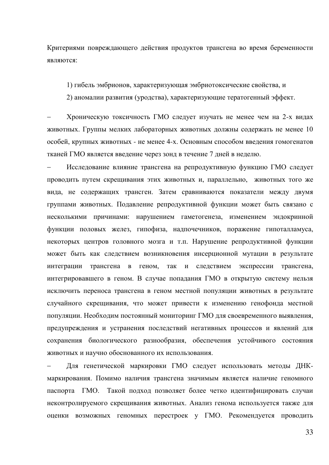Критериями повреждающего действия продуктов трансгена во время беременности являются:

1) гибель эмбрионов, характеризующая эмбриотоксические свойства, и

2) аномалии развития (уродства), характеризующие тератогенный эффект.

Хроническую токсичность ГМО следует изучать не менее чем на 2-х видах животных. Группы мелких лабораторных животных должны содержать не менее 10 особей, крупных животных - не менее 4-х. Основным способом введения гомогенатов тканей ГМО является введение через зонд в течение 7 дней в неделю.

Исследование влияние трансгена на репродуктивную функцию ГМО следует проводить путем скрещивания этих животных и, параллельно, животных того же вида, не содержащих трансген. Затем сравниваются показатели между двумя группами животных. Подавление репродуктивной функции может быть связано с несколькими причинами: нарушением гаметогенеза, изменением эндокринной функции половых желез, гипофиза, надпочечников, поражение гипоталламуса, некоторых центров головного мозга и т.п. Нарушение репродуктивной функции может быть как следствием возникновения инсерционной мутации в результате интеграции трансгена в геном, так и следствием экспрессии трансгена, интегрировавшего в геном. В случае попадания ГМО в открытую систему нельзя исключить переноса трансгена в геном местной популяции животных в результате случайного скрещивания, что может привести к изменению генофонда местной популяции. Необходим постоянный мониторинг ГМО для своевременного выявления, предупреждения и устранения последствий негативных процессов и явлений для сохранения биологического разнообразия, обеспечения устойчивого состояния животных и научно обоснованного их использования.

Для генетической маркировки ГМО следует использовать методы ДНКмаркирования. Помимо наличия трансгена значимым является наличие геномного паспорта ГМО. Такой подход позволяет более четко идентифицировать случаи неконтролируемого скрещивания животных. Анализ генома используется также для оценки возможных геномных перестроек у ГМО. Рекомендуется проводить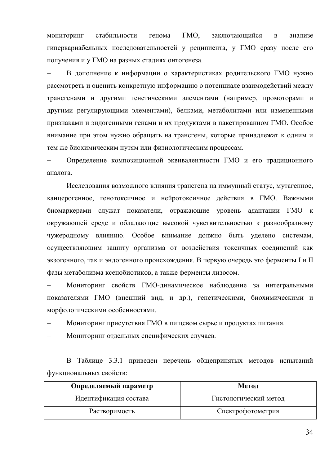мониторинг стабильности генома ГМО, заключающийся в анализе гипервариабельных последовательностей у реципиента, у ГМО сразу после его получения и у ГМО на разных стадиях онтогенеза.

В дополнение к информации о характеристиках родительского ГМО нужно рассмотреть и оценить конкретную информацию о потенциале взаимодействий между трансгенами и другими генетическими элементами (например, промоторами и другими регулирующими элементами), белками, метаболитами или измененными признаками и эндогенными генами и их продуктами в пакетированном ГМО. Особое внимание при этом нужно обращать на трансгены, которые принадлежат к одним и тем же биохимическим путям или физиологическим процессам.

Определение композиционной эквивалентности ГМО и его традиционного аналога.

Исследования возможного влияния трансгена на иммунный статус, мутагенное, канцерогенное, генотоксичное и нейротоксичное действия в ГМО. Важными биомаркерами служат показатели, отражающие уровень адаптации ГМО к окружающей среде и обладающие высокой чувствительностью к разнообразному чужеродному влиянию. Особое внимание должно быть уделено системам, осуществляющим защиту организма от воздействия токсичных соединений как экзогенного, так и эндогенного происхождения. В первую очередь это ферменты I и II фазы метаболизма ксенобиотиков, а также ферменты лизосом.

Мониторинг свойств ГМО-динамическое наблюдение за интегральными показателями ГМО (внешний вид, и др.), генетическими, биохимическими и морфологическими особенностями.

Мониторинг присутствия ГМО в пищевом сырье и продуктах питания.

Мониторинг отдельных специфических случаев.

В Таблице 3.3.1 приведен перечень общепринятых методов испытаний функциональных свойств:

| Определяемый параметр | Метод                 |
|-----------------------|-----------------------|
| Идентификация состава | Гистологический метод |
| Растворимость         | Спектрофотометрия     |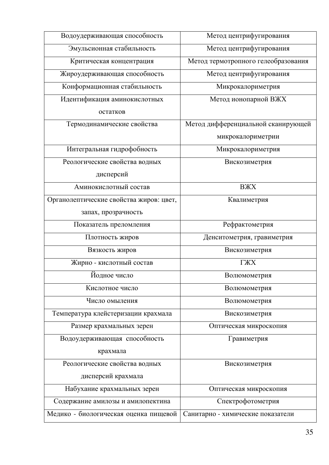| Водоудерживающая способность            | Метод центрифугирования             |
|-----------------------------------------|-------------------------------------|
| Эмульсионная стабильность               | Метод центрифугирования             |
| Критическая концентрация                | Метод термотропного гелеобразования |
| Жироудерживающая способность            | Метод центрифугирования             |
| Конформационная стабильность            | Микрокалориметрия                   |
| Идентификация аминокислотных            | Метод ионопарной ВЖХ                |
| остатков                                |                                     |
| Термодинамические свойства              | Метод дифференциальной сканирующей  |
|                                         | микрокалориметрии                   |
| Интегральная гидрофобность              | Микрокалориметрия                   |
| Реологические свойства водных           | Вискозиметрия                       |
| дисперсий                               |                                     |
| Аминокислотный состав                   | <b>BX</b>                           |
| Органолептические свойства жиров: цвет, | Квалиметрия                         |
| запах, прозрачность                     |                                     |
| Показатель преломления                  | Рефрактометрия                      |
| Плотность жиров                         | Денситометрия, гравиметрия          |
| Вязкость жиров                          | Вискозиметрия                       |
| Жирно - кислотный состав                | ГЖХ                                 |
| Йодное число                            | Волюмометрия                        |
| Кислотное число                         | Волюмометрия                        |
| Число омыления                          | Волюмометрия                        |
| Температура клейстеризации крахмала     | Вискозиметрия                       |
| Размер крахмальных зерен                | Оптическая микроскопия              |
| Водоудерживающая способность            | Гравиметрия                         |
| крахмала                                |                                     |
| Реологические свойства водных           | Вискозиметрия                       |
| дисперсий крахмала                      |                                     |
| Набухание крахмальных зерен             | Оптическая микроскопия              |
| Содержание амилозы и амилопектина       | Спектрофотометрия                   |
| Медико - биологическая оценка пищевой   | Санитарно - химические показатели   |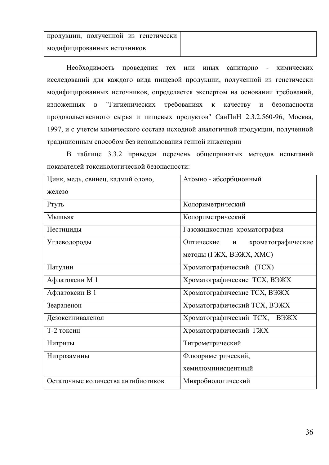Необходимость проведения тех или иных санитарно - химических исследований для каждого вида пищевой продукции, полученной из генетически модифицированных источников, определяется экспертом на основании требований, изложенных в "Гигиенических требованиях к качеству и безопасности продовольственного сырья и пищевых продуктов" СанПиН 2.3.2.560-96, Москва, 1997, и с учетом химического состава исходной аналогичной продукции, полученной традиционным способом без использования генной инженерии

В таблице 3.3.2 приведен перечень общепринятых методов испытаний показателей токсикологической безопасности:

| Цинк, медь, свинец, кадмий олово,  | Атомно - абсорбционный                |  |  |  |
|------------------------------------|---------------------------------------|--|--|--|
| железо                             |                                       |  |  |  |
| Ртуть                              | Колориметрический                     |  |  |  |
| Мышьяк                             | Колориметрический                     |  |  |  |
| Пестициды                          | Газожидкостная хроматография          |  |  |  |
| Углеводороды                       | хроматографические<br>Оптические<br>И |  |  |  |
|                                    | методы (ГЖХ, ВЭЖХ, ХМС)               |  |  |  |
| Патулин                            | Хроматографический (ТСХ)              |  |  |  |
| Афлатоксин М 1                     | Хроматографические ТСХ, ВЭЖХ          |  |  |  |
| Афлатоксин В 1                     | Хроматографические ТСХ, ВЭЖХ          |  |  |  |
| Зеараленон                         | Хроматографический ТСХ, ВЭЖХ          |  |  |  |
| Дезоксиниваленол                   | Хроматографический ТСХ, ВЭЖХ          |  |  |  |
| Т-2 токсин                         | Хроматографический ГЖХ                |  |  |  |
| Нитриты                            | Титрометрический                      |  |  |  |
| Нитрозамины                        | Флюориметрический,                    |  |  |  |
|                                    | хемилюминисцентный                    |  |  |  |
| Остаточные количества антибиотиков | Микробиологический                    |  |  |  |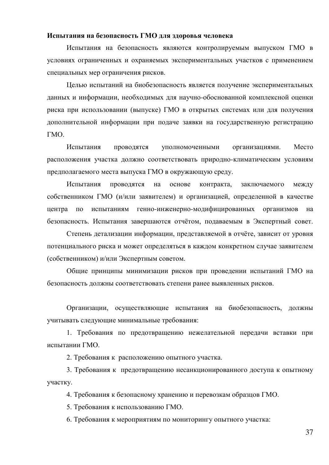#### Испытания на безопасность ГМО для здоровья человека

Испытания на безопасность являются контролируемым выпуском ГМО в условиях ограниченных и охраняемых экспериментальных участков с применением специальных мер ограничения рисков.

Целью испытаний на биобезопасность является получение экспериментальных данных и информации, необходимых для научно-обоснованной комплексной оценки риска при использовании (выпуске) ГМО в открытых системах или для получения дополнительной информации при подаче заявки на государственную регистрацию ГМО.

Испытания проводятся уполномоченными организациями. Место расположения участка должно соответствовать природно-климатическим условиям предполагаемого места выпуска ГМО в окружающую среду.

Испытания проводятся на основе контракта, заключаемого между собственником ГМО (и/или заявителем) и организацией, определенной в качестве центра по испытаниям генно-инженерно-модифицированных организмов на безопасность. Испытания завершаются отчётом, подаваемым в Экспертный совет.

Степень детализации информации, представляемой в отчёте, зависит от уровня потенциального риска и может определяться в каждом конкретном случае заявителем (собственником) и/или Экспертным советом.

Общие принципы минимизации рисков при проведении испытаний ГМО на безопасность должны соответствовать степени ранее выявленных рисков.

Организации, осуществляющие испытания на биобезопасность, должны учитывать следующие минимальные требования:

1. Требования по предотвращению нежелательной передачи вставки при испытании ГМО.

2. Требования к расположению опытного участка.

3. Требования к предотвращению несанкционированного доступа к опытному участку.

4. Требования к безопасному хранению и перевозкам образцов ГМО.

5. Требования к использованию ГМО.

6. Требования к мероприятиям по мониторингу опытного участка: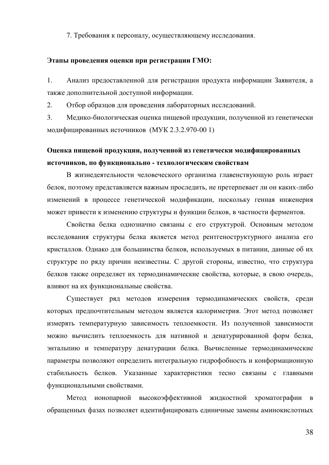7. Требования к персоналу, осуществляющему исследования.

#### Этапы проведения оценки при регистрации ГМО:

1. Анализ предоставленной для регистрации продукта информации Заявителя, а также дополнительной доступной информации.

2. Отбор образцов для проведения лабораторных исследований.

3. Медико-биологическая оценка пищевой продукции, полученной из генетически модифицированных источников (МУК 2.3.2.970-00 1)

# Оценка пищевой продукции, полученной из генетически модифицированных источников, по функционально - технологическим свойствам

В жизнедеятельности человеческого организма главенствующую роль играет белок, поэтому представляется важным проследить, не претерпевает ли он каких-либо изменений в процессе генетической модификации, поскольку генная инженерия может привести к изменению структуры и функции белков, в частности ферментов.

Свойства белка однозначно связаны с его структурой. Основным методом исследования структуры белка является метод рентгеноструктурного анализа его кристаллов. Однако для большинства белков, используемых в питании, данные об их структуре по ряду причин неизвестны. С другой стороны, известно, что структура белков также определяет их термодинамические свойства, которые, в свою очередь, влияют на их функциональные свойства.

Существует ряд методов измерения термодинамических свойств, среди которых предпочтительным методом является калориметрия. Этот метод позволяет измерять температурную зависимость теплоемкости. Из полученной зависимости можно вычислить теплоемкость для нативной и денатурированной форм белка, энтальпию и температуру денатурации белка. Вычисленные термодинамические параметры позволяют определить интегральную гидрофобность и конформационную стабильность белков. Указанные характеристики тесно связаны с главными функциональными свойствами.

Метод ионопарной высокоэффективной жидкостной хроматографии в обращенных фазах позволяет идентифицировать единичные замены аминокислотных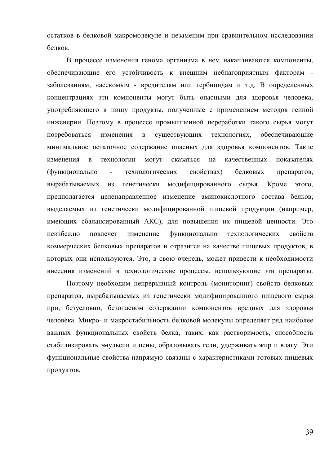остатков в белковой макромолекуле и незаменим при сравнительном исследовании белков.

В процессе изменения генома организма в нем накапливаются компоненты, обеспечивающие его устойчивость к внешним неблагоприятным факторам заболеваниям, насекомым - вредителям или гербицидам и т.д. В определенных концентрациях эти компоненты могут быть опасными для здоровья человека, употребляющего в пищу продукты, полученные с применением методов генной инженерии. Поэтому в процессе промышленной переработки такого сырья могут потребоваться изменения в существующих технологиях, обеспечивающие минимальное остаточное содержание опасных для здоровья компонентов. Такие изменения в технологии могут сказаться на качественных показателях (функционально - технологических свойствах) белковых препаратов, вырабатываемых из генетически модифицированного сырья. Кроме этого, предполагается целенаправленное изменение аминокислотного состава белков, выделяемых из генетически модифицированной пищевой продукции (например, имеющих сбалансированный АКС), для повышения их пищевой ценности. Это неизбежно повлечет изменение функционально технологических свойств коммерческих белковых препаратов и отразится на качестве пищевых продуктов, в которых они используются. Это, в свою очередь, может привести к необходимости внесения изменений в технологические процессы, использующие эти препараты.

Поэтому необходим непрерывный контроль (мониторинг) свойств белковых препаратов, вырабатываемых из генетически модифицированного пищевого сырья при, безусловно, безопасном содержании компонентов вредных для здоровья человека. Микро- и макростабильность белковой молекулы определяет ряд наиболее важных функциональных свойств белка, таких, как растворимость, способность стабилизировать эмульсии и пены, образовывать гели, удерживать жир и влагу. Эти функциональные свойства напрямую связаны с характеристиками готовых пищевых продуктов.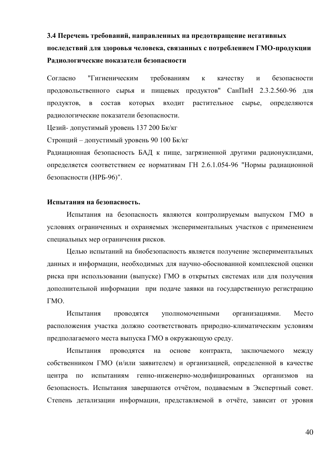# 3.4 Перечень требований, направленных на предотвращение негативных последствий для здоровья человека, связанных с потреблением ГМО-продукции Радиологические показатели безопасности

Согласно "Гигиеническим требованиям к качеству и безопасности продовольственного сырья и пищевых продуктов" СанПиН 2.3.2.560-96 для продуктов, в состав которых входит растительное сырье, определяются радиологические показатели безопасности.

Цезий- допустимый уровень 137 200 Бк/кг

Стронций – допустимый уровень 90 100 Бк/кг

Радиационная безопасность БАД к пище, загрязненной другими радионуклидами, определяется соответствием ее нормативам ГН 2.6.1.054-96 "Нормы радиационной безопасности (НРБ-96)".

#### Испытания на безопасность.

Испытания на безопасность являются контролируемым выпуском ГМО в условиях ограниченных и охраняемых экспериментальных участков с применением специальных мер ограничения рисков.

Целью испытаний на биобезопасность является получение экспериментальных данных и информации, необходимых для научно-обоснованной комплексной оценки риска при использовании (выпуске) ГМО в открытых системах или для получения дополнительной информации при подаче заявки на государственную регистрацию TMO.

Испытания проводятся уполномоченными организациями. Место расположения участка должно соответствовать природно-климатическим условиям предполагаемого места выпуска ГМО в окружающую среду.

Испытания проводятся на основе контракта, заключаемого между собственником ГМО (и/или заявителем) и организацией, определенной в качестве центра по испытаниям генно-инженерно-модифицированных организмов на безопасность. Испытания завершаются отчётом, подаваемым в Экспертный совет. Степень детализации информации, представляемой в отчёте, зависит от уровня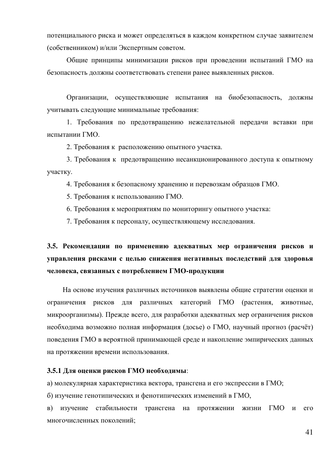потенциального риска и может определяться в каждом конкретном случае заявителем (собственником) и/или Экспертным советом.

Общие принципы минимизации рисков при проведении испытаний ГМО на безопасность должны соответствовать степени ранее выявленных рисков.

Организации, осуществляющие испытания на биобезопасность, должны учитывать следующие минимальные требования:

1. Требования по предотвращению нежелательной передачи вставки при испытании ГМО.

2. Требования к расположению опытного участка.

3. Требования к предотвращению несанкционированного доступа к опытному vyactky.

4. Требования к безопасному хранению и перевозкам образцов ГМО.

5. Требования к использованию ГМО.

6. Требования к мероприятиям по мониторингу опытного участка:

7. Требования к персоналу, осуществляющему исследования.

# 3.5. Рекомендации по применению адекватных мер ограничения рисков и управления рисками с целью снижения негативных последствий для здоровья человека, связанных с потреблением ГМО-продукции

На основе изучения различных источников выявлены общие стратегии оценки и ограничения рисков для различных категорий ГМО (растения, животные, микроорганизмы). Прежде всего, для разработки адекватных мер ограничения рисков необходима возможно полная информация (досье) о ГМО, научный прогноз (расчёт) поведения ГМО в вероятной принимающей среде и накопление эмпирических данных на протяжении времени использования.

#### 3.5.1 Для оценки рисков ГМО необходимы:

а) молекулярная характеристика вектора, трансгена и его экспрессии в ГМО;

б) изучение генотипических и фенотипических изменений в ГМО,

в) изучение стабильности трансгена на протяжении жизни ГМО и его многочисленных поколений;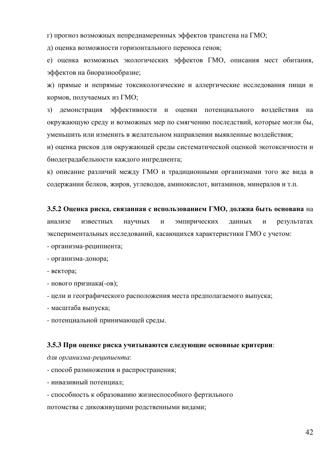г) прогноз возможных непреднамеренных эффектов трансгена на ГМО;

д) оценка возможности горизонтального переноса генов;

е) оценка возможных экологических эффектов ГМО, описания мест обитания, эффектов на биоразнообразие;

ж) прямые и непрямые токсикологические и аллергические исследования пищи и кормов, получаемых из ГМО;

з) демонстрация эффективности и оценки потенциального воздействия на окружающую среду и возможных мер по смягчению последствий, которые могли бы, уменьшить или изменить в желательном направлении выявленные воздействия;

и) оценка рисков для окружающей среды систематической оценкой экотоксичности и биодеградабельности каждого ингредиента;

к) описание различий между ГМО и традиционными организмами того же вида в содержании белков, жиров, углеводов, аминокислот, витаминов, минералов и т.п.

3.5.2 Оценка риска, связанная с использованием ГМО, должна быть основана на анализе известных научных и эмпирических данных и результатах экспериментальных исследований, касающихся характеристики ГМО с учетом:

- организма-реципиента;

- организма-донора;

- **Bektopa**;

- нового признака(-ов);

- цели и географического расположения места предполагаемого выпуска;

- масштаба выпуска;

- потенциальной принимающей среды.

#### **3.5.3 При оценке риска учитываются следующие основные критерии:**

 $\partial$ ля организма-реципиента:

- способ размножения и распространения;

- инвазивный потенциал;

- способность к образованию жизнеспособного фертильного

потомства с дикоживущими родственными видами;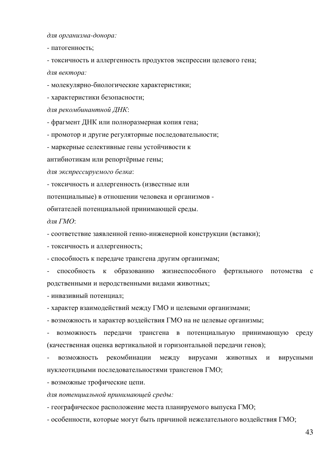$\partial$ ля организма-донора:

- патогенность;

- токсичность и аллергенность продуктов экспрессии целевого гена;  $\partial$ ля вектора:

- молекулярно-биологические характеристики;

- характеристики безопасности;

для рекомбинантной ДНК:

- фрагмент ДНК или полноразмерная копия гена;

- промотор и другие регуляторные последовательности;

- маркерные селективные гены устойчивости к

антибиотикам или репортёрные гены;

 $\partial$ ля экспрессируемого белка:

- токсичность и аллергенность (известные или

потенциальные) в отношении человека и организмов -

обитателей потенциальной принимающей среды.

 $\partial$ *nя ГМО*:

- соответствие заявленной генно-инженерной конструкции (вставки);

- токсичность и аллергенность;

- способность к передаче трансгена другим организмам;

способность к образованию жизнеспособного фертильного потомства с родственными и неродственными видами животных;

- инвазивный потенциал;

- характер взаимодействий между ГМО и целевыми организмами;

- возможность и характер воздействия ГМО на не целевые организмы;

возможность передачи трансгена в потенциальную принимающую среду (качественная оценка вертикальной и горизонтальной передачи генов);

возможность рекомбинации между вирусами животных и вирусными нуклеотидными последовательностями трансгенов ГМО;

- возможные трофические цепи.

 $\partial$ ля потенциальной принимающей среды:

- географическое расположение места планируемого выпуска ГМО;

- особенности, которые могут быть причиной нежелательного воздействия ГМО;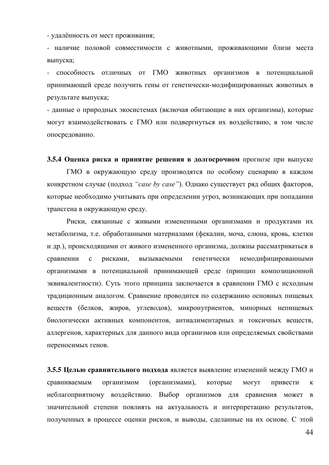- удалённость от мест проживания;

- наличие половой совместимости с животными, проживающими близи места выпуска;

способность отличных от ГМО животных организмов в потенциальной принимающей среде получить гены от генетически-модифицированных животных в результате выпуска;

- данные о природных экосистемах (включая обитающие в них организмы), которые могут взаимодействовать с ГМО или подвергнуться их воздействию, в том числе опосредованно.

**3.5.4 Оценка риска и принятие решения в долгосрочном** прогнозе при выпуске ГМО в окружающую среду производятся по особому сценарию в каждом конкретном случае (подход "case by case"). Однако существует ряд общих факторов, которые необходимо учитывать при определении угроз, возникающих при попадании трансгена в окружающую среду.

Риски, связанные с живыми измененными организмами и продуктами их метаболизма, т.е. обработанными материалами (фекалии, моча, слюна, кровь, клетки и др.), происходящими от живого измененного организма, должны рассматриваться в сравнении с рисками, вызываемыми генетически немодифицированными организмами в потенциальной принимающей среде (принцип композиционной эквивалентности). Суть этого принципа заключается в сравнении ГМО с исходным традиционным аналогом. Сравнение проводится по содержанию основных пищевых веществ (белков, жиров, углеводов), микронутриентов, минорных непищевых биологически активных компонентов, антиалиментарных и токсичных веществ, аллергенов, характерных для данного вида организмов или определяемых свойствами переносимых генов.

**3.5.5 Целью сравнительного подхода является выявление изменений между ГМО и** сравниваемым организмом (организмами), которые могут привести к неблагоприятному воздействию. Выбор организмов для сравнения может в значительной степени повлиять на актуальность и интерпретацию результатов, полученных в процессе оценки рисков, и выводы, сделанные на их основе. С этой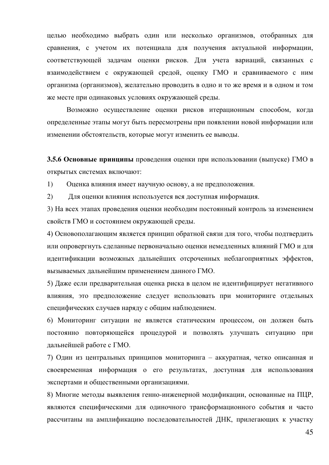целью необходимо выбрать один или несколько организмов, отобранных для сравнения, с учетом их потенциала для получения актуальной информации, соответствующей задачам оценки рисков. Для учета вариаций, связанных с взаимодействием с окружающей средой, оценку ГМО и сравниваемого с ним организма (организмов), желательно проводить в одно и то же время и в одном и том же месте при одинаковых условиях окружающей среды.

Возможно осуществление оценки рисков итерационным способом, когда определенные этапы могут быть пересмотрены при появлении новой информации или изменении обстоятельств, которые могут изменить ее выводы.

**3.5.6 Основные принципы** проведения оценки при использовании (выпуске) ГМО в открытых системах включают:

1) Оценка влияния имеет научную основу, а не предположения.

2) Для оценки влияния используется вся доступная информация.

3) На всех этапах проведения оценки необходим постоянный контроль за изменением свойств ГМО и состоянием окружающей среды.

4) Основополагающим является принцип обратной связи для того, чтобы подтвердить или опровергнуть сделанные первоначально оценки немедленных влияний ГМО и для идентификации возможных дальнейших отсроченных неблагоприятных эффектов, вызываемых дальнейшим применением данного ГМО.

5) Даже если предварительная оценка риска в целом не идентифицирует негативного влияния, это предположение следует использовать при мониторинге отдельных специфических случаев наряду с общим наблюдением.

6) Мониторинг ситуации не является статическим процессом, он должен быть постоянно повторяющейся процедурой и позволять улучшать ситуацию при дальнейшей работе с ГМО.

7) Один из центральных принципов мониторинга – аккуратная, четко описанная и своевременная информация о его результатах, доступная для использования экспертами и общественными организациями.

8) Многие методы выявления генно-инженерной модификации, основанные на ПЦР, являются специфическими для одиночного трансформационного события и часто рассчитаны на амплификацию последовательностей ДНК, прилегающих к участку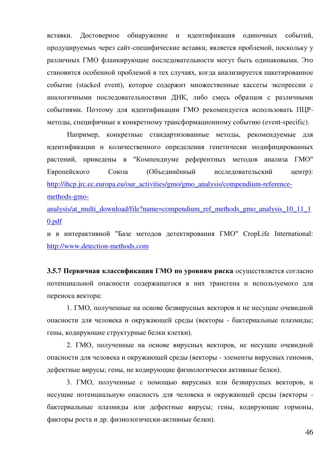вставки. Достоверное обнаружение и идентификация одиночных событий, продуцируемых через сайт-специфические вставки, является проблемой, поскольку у различных ГМО фланкирующие последовательности могут быть одинаковыми. Это становится особенной проблемой в тех случаях, когда анализируется пакетированное событие (stacked event), которое содержит множественные кассеты экспрессии с аналогичными последовательностями ДНК, либо смесь образцов с различными событиями. Поэтому для идентификации ГМО рекомендуется использовать ПЦРметоды, специфичные к конкретному трансформационному событию (event-specific).

Например, конкретные стандартизованные методы, рекомендуемые для идентификации и количественного определения генетически модифицированных растений, приведены в "Компендиуме референтных методов анализа ГМО" Европейского Союза (Объединённый исследовательский центр): [http://ihcp.jrc.ec.europa.eu/our\\_activities/gmo/gmo\\_analysis/compendium-reference](http://ihcp.jrc.ec.europa.eu/our_activities/gmo/gmo_analysis/compendium-reference-methods-gmo-analysis/at_multi_download/file?name=compendium_ref_methods_gmo_analysis_10_11_10.pdf)[methods-gmo-](http://ihcp.jrc.ec.europa.eu/our_activities/gmo/gmo_analysis/compendium-reference-methods-gmo-analysis/at_multi_download/file?name=compendium_ref_methods_gmo_analysis_10_11_10.pdf)

[analysis/at\\_multi\\_download/file?name=compendium\\_ref\\_methods\\_gmo\\_analysis\\_10\\_11\\_1](http://ihcp.jrc.ec.europa.eu/our_activities/gmo/gmo_analysis/compendium-reference-methods-gmo-analysis/at_multi_download/file?name=compendium_ref_methods_gmo_analysis_10_11_10.pdf) [0.pdf](http://ihcp.jrc.ec.europa.eu/our_activities/gmo/gmo_analysis/compendium-reference-methods-gmo-analysis/at_multi_download/file?name=compendium_ref_methods_gmo_analysis_10_11_10.pdf)

и в интерактивной "Базе методов детектирования ГМО" CropLife International: [http://www.detection-methods.com](http://www.detection-methods.com/)

**3.5.7 Первичная классификация ГМО по уровням риска** осуществляется согласно потенциальной опасности содержащегося в них трансгена и используемого для переноса вектора:

1. ГМО, полученные на основе безвирусных векторов и не несущие очевидной опасности для человека и окружающей среды (векторы - бактериальные плазмиды; гены, кодирующие структурные белки клетки).

2. ГМО, полученные на основе вирусных векторов, не несущие очевидной опасности для человека и окружающей среды (векторы - элементы вирусных геномов, дефектные вирусы; гены, не кодирующие физиологически активные белки).

3. ГМО, полученные с помощью вирусных или безвирусных векторов, и несущие потенциальную опасность для человека и окружающей среды (векторы бактериальные плазмиды или дефектные вирусы; гены, кодирующие гормоны, факторы роста и др. физиологически-активные белки).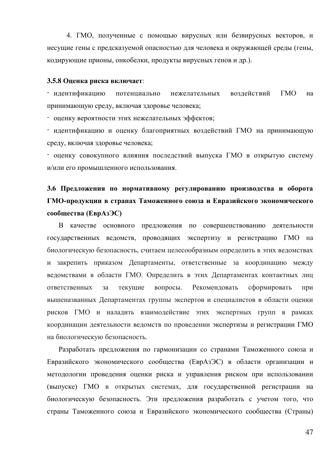4. ГМО, полученные с помощью вирусных или безвирусных векторов, и несущие гены с предсказуемой опасностью для человека и окружающей среды (гены, кодирующие прионы, онкобелки, продукты вирусных генов и др.).

#### 3.5.8 Оценка риска включает:

- идентификацию потенциально нежелательных воздействий ГМО на принимающую среду, включая здоровье человека;

- оценку вероятности этих нежелательных эффектов;

- идентификацию и оценку благоприятных воздействий ГМО на принимающую среду, включая здоровье человека;

- оценку совокупного влияния последствий выпуска ГМО в открытую систему и/или его промышленного использования.

# 3.6 Предложения по нормативному регулированию производства и оборота ГМО-продукции в странах Таможенного союза и Евразийского экономического **сообщества (ЕврАзЭС)**

В качестве основного предложения по совершенствованию деятельности государственных ведомств, проводящих экспертизу и регистрацию ГМО на биологическую безопасность, считаем целесообразным определить в этих ведомствах и закрепить приказом Департаменты, ответственные за координацию между ведомствами в области ГМО. Определить в этих Департаментах контактных лиц ответственных за текущие вопросы. Рекомендовать сформировать при вышеназванных Департаментах группы экспертов и специалистов в области оценки рисков ГМО и наладить взаимодействие этих экспертных групп в рамках координации деятельности ведомств по проведении экспертизы и регистрации ГМО на биологическую безопасность.

Разработать предложения по гармонизации со странами Таможенного союза и Евразийского экономического сообщества (ЕврАзЭС) в области организации и методологии проведения оценки риска и управления риском при использовании (выпуске) ГМО в открытых системах, для государственной регистрации на биологическую безопасность. Эти предложения разработать с учетом того, что страны Таможенного союза и Евразийского экономического сообщества (Страны)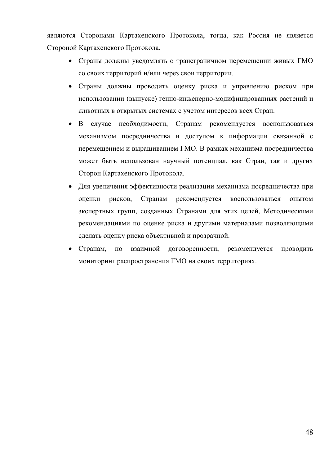являются Сторонами Картахенского Протокола, тогда, как Россия не является Стороной Картахенского Протокола.

- Страны должны уведомлять о трансграничном перемещении живых ГМО со своих территорий и/или через свои территории.
- Страны должны проводить оценку риска и управлению риском при использовании (выпуске) генно-инженерно-модифицированных растений и животных в открытых системах с учетом интересов всех Стран.
- В случае необходимости, Странам рекомендуется воспользоваться механизмом посредничества и доступом к информации связанной с перемещением и выращиванием ГМО. В рамках механизма посредничества может быть использован научный потенциал, как Стран, так и других Сторон Картахенского Протокола.
- Для увеличения эффективности реализации механизма посредничества при оценки рисков, Странам рекомендуется воспользоваться опытом экспертных групп, созданных Странами для этих целей, Методическими рекомендациями по оценке риска и другими материалами позволяющими сделать оценку риска объективной и прозрачной.
- Странам, по взаимной договоренности, рекомендуется проводить мониторинг распространения ГМО на своих территориях.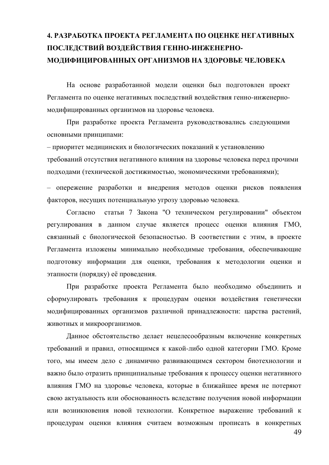# 4. РАЗРАБОТКА ПРОЕКТА РЕГЛАМЕНТА ПО ОЦЕНКЕ НЕГАТИВНЫХ ПОСЛЕДСТВИЙ ВОЗДЕЙСТВИЯ ГЕННО-ИНЖЕНЕРНО-МОДИФИЦИРОВАННЫХ ОРГАНИЗМОВ НА ЗДОРОВЬЕ ЧЕЛОВЕКА

На основе разработанной модели оценки был подготовлен проект Регламента по оценке негативных последствий воздействия генно-инженерномодифицированных организмов на здоровье человека.

При разработке проекта Регламента руководствовались следующими основными принципами:

– приоритет медицинских и биологических показаний к установлению требований отсутствия негативного влияния на здоровье человека перед прочими подходами (технической достижимостью, экономическими требованиями);

– опережение разработки и внедрения методов оценки рисков появления факторов, несущих потенциальную угрозу здоровью человека.

Согласно статьи 7 Закона "О техническом регулировании" объектом регулирования в данном случае является процесс оценки влияния ГМО, связанный с биологической безопасностью. В соответствии с этим, в проекте Регламента изложены минимально необходимые требования, обеспечивающие подготовку информации для оценки, требования к методологии оценки и этапности (порядку) её проведения.

При разработке проекта Регламента было необходимо объединить и сформулировать требования к процедурам оценки воздействия генетически модифицированных организмов различной принадлежности: царства растений, животных и микроорганизмов.

Данное обстоятельство делает нецелесообразным включение конкретных требований и правил, относящимся к какой-либо одной категории ГМО. Кроме того, мы имеем дело с динамично развивающимся сектором биотехнологии и важно было отразить принципиальные требования к процессу оценки негативного влияния ГМО на здоровье человека, которые в ближайшее время не потеряют свою актуальность или обоснованность вследствие получения новой информации или возникновения новой технологии. Конкретное выражение требований к процедурам оценки влияния считаем возможным прописать в конкретных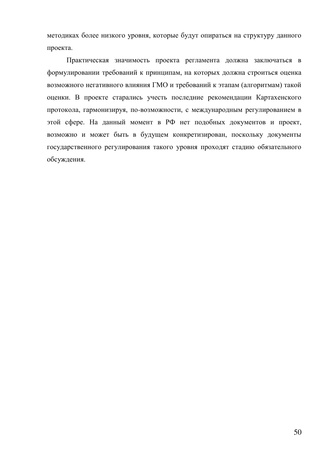методиках более низкого уровня, которые будут опираться на структуру данного проекта.

Практическая значимость проекта регламента должна заключаться в формулировании требований к принципам, на которых должна строиться оценка возможного негативного влияния ГМО и требований к этапам (алгоритмам) такой оценки. В проекте старались учесть последние рекомендации Картахенского протокола, гармонизируя, по-возможности, с международным регулированием в этой сфере. На данный момент в РФ нет подобных документов и проект, возможно и может быть в будущем конкретизирован, поскольку документы государственного регулирования такого уровня проходят стадию обязательного обсуждения.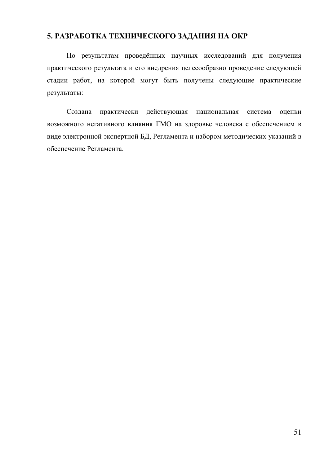## 5. РАЗРАБОТКА ТЕХНИЧЕСКОГО ЗАДАНИЯ НА ОКР

По результатам проведённых научных исследований для получения практического результата и его внедрения целесообразно проведение следующей стадии работ, на которой могут быть получены следующие практические результаты:

Создана практически действующая национальная система оценки возможного негативного влияния ГМО на здоровье человека с обеспечением в виде электронной экспертной БД, Регламента и набором методических указаний в обеспечение Регламента.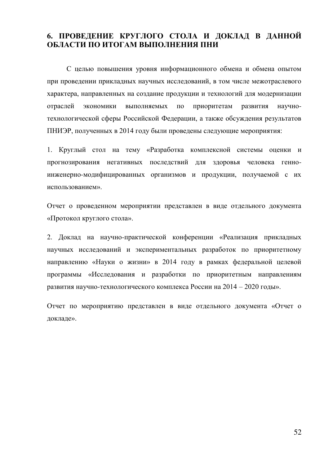## 6. ПРОВЕДЕНИЕ КРУГЛОГО СТОЛА И ДОКЛАД В ДАННОЙ ОБЛАСТИ ПО ИТОГАМ ВЫПОЛНЕНИЯ ПНИ

С целью повышения уровня информационного обмена и обмена опытом при проведении прикладных научных исследований, в том числе межотраслевого характера, направленных на создание продукции и технологий для модернизации отраслей экономики выполняемых по приоритетам развития научнотехнологической сферы Российской Федерации, а также обсуждения результатов ПНИЭР, полученных в 2014 году были проведены следующие мероприятия:

1. Круглый стол на тему «Разработка комплексной системы оценки и прогнозирования негативных последствий для здоровья человека генноинженерно-модифицированных организмов и продукции, получаемой с их использованием».

Отчет о проведенном мероприятии представлен в виде отдельного документа «Протокол круглого стола».

2. Доклад на научно-практической конференции «Реализация прикладных научных исследований и экспериментальных разработок по приоритетному направлению «Науки о жизни» в 2014 году в рамках федеральной целевой программы «Исследования и разработки по приоритетным направлениям развития научно-технологического комплекса России на 2014 – 2020 годы».

Отчет по мероприятию представлен в виде отдельного документа «Отчет о докладе».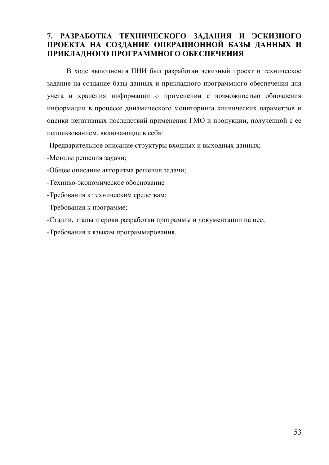## 7. РАЗРАБОТКА ТЕХНИЧЕСКОГО ЗАДАНИЯ И ЭСКИЗНОГО ПРОЕКТА НА СОЗДАНИЕ ОПЕРАЦИОННОЙ БАЗЫ ДАННЫХ И ПРИКЛАДНОГО ПРОГРАММНОГО ОБЕСПЕЧЕНИЯ

В ходе выполнения ПНИ был разработан эскизный проект и техническое задание на создание базы данных и прикладного программного обеспечения для учета и хранения информации о применении с возможностью обновления информации в процессе динамического мониторинга клинических параметров и оценки негативных последствий применения ГМО и продукции, полученной с ее использованием, включающие в себя:

- Предварительное описание структуры входных и выходных данных;

-Методы решения задачи;

-Общее описание алгоритма решения задачи;

-Технико-экономическое обоснование

-Требования к техническим средствам;

-Требования к программе;

-Стадии, этапы и сроки разработки программы и документации на нее;

-Требования к языкам программирования.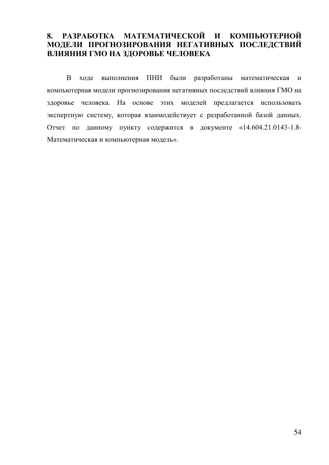## 8. РАЗРАБОТКА МАТЕМАТИЧЕСКОЙ И КОМПЬЮТЕРНОЙ МОДЕЛИ ПРОГНОЗИРОВАНИЯ НЕГАТИВНЫХ ПОСЛЕДСТВИЙ ВЛИЯНИЯ ГМО НА ЗДОРОВЬЕ ЧЕЛОВЕКА

В ходе выполнения ПНИ были разработаны математическая и компьютерная модели прогнозирования негативных последствий влияния ГМО на здоровье человека. На основе этих моделей предлагается использовать экспертную систему, которая взаимодействует с разработанной базой данных. Отчет по данному пункту содержится в документе «14.604.21.0143-1.8-Математическая и компьютерная модель».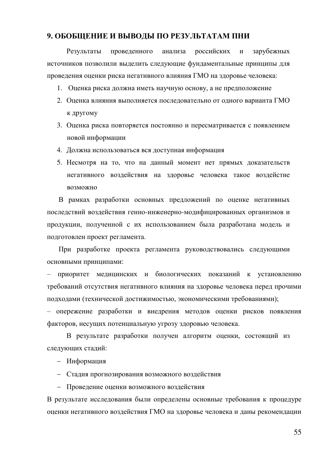### 9. ОБОБЩЕНИЕ И ВЫВОДЫ ПО РЕЗУЛЬТАТАМ ПНИ

Результаты проведенного анализа российских и зарубежных источников позволили выделить следующие фундаментальные принципы для проведения оценки риска негативного влияния ГМО на здоровье человека:

- 1. Оценка риска должна иметь научную основу, а не предположение
- 2. Оценка влияния выполняется последовательно от одного варианта ГМО к другому
- 3. Оценка риска повторяется постоянно и пересматривается с появлением новой информации
- 4. Должна использоваться вся доступная информация
- 5. Несмотря на то, что на данный момент нет прямых доказательств негативного воздействия на здоровье человека такое воздейстие BO3MOЖHO

В рамках разработки основных предложений по оценке негативных последствий воздействия генно-инженерно-модифицированных организмов и продукции, полученной с их использованием была разработана модель и подготовлен проект регламента.

При разработке проекта регламента руководствовались следующими основными принципами:

приоритет медицинских и биологических показаний к установлению требований отсутствия негативного влияния на здоровье человека перед прочими подходами (технической достижимостью, экономическими требованиями);

- опережение разработки и внедрения методов оценки рисков появления факторов, несущих потенциальную угрозу здоровью человека.

В результате разработки получен алгоритм оценки, состоящий из следующих стадий:

– Информация

– Стадия прогнозирования возможного воздействия

- Проведение оценки возможного воздействия

В результате исследования были определены основные требования к процедуре оценки негативного воздействия ГМО на здоровье человека и даны рекомендации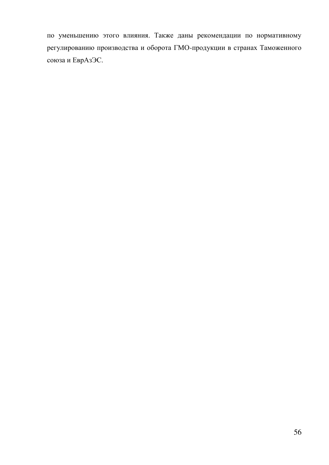по уменьшению этого влияния. Также даны рекомендации по нормативному регулированию производства и оборота ГМО-продукции в странах Таможенного союза и ЕврАзЭС.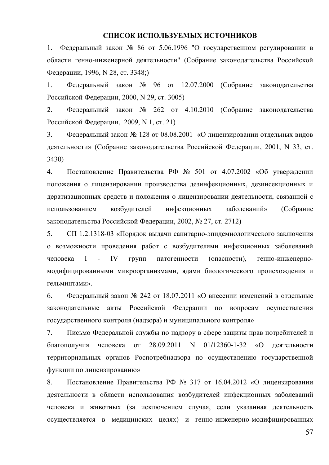#### СПИСОК ИСПОЛЬЗУЕМЫХ ИСТОЧНИКОВ

1. Федеральный закон № 86 от 5.06.1996 "О государственном регулировании в области генно-инженерной деятельности" (Собрание законодательства Российской Федерации, 1996, N 28, ст. 3348;)

1. Федеральный закон  $N_2$  96 от 12.07.2000 (Собрание законодательства Российской Федерации, 2000, N 29, ст. 3005)

2. Федеральный закон № 262 от 4.10.2010 (Собрание законодательства Российской Федерации, 2009, N 1, ст. 21)

3. Федеральный закон № 128 от 08.08.2001 «О лицензировании отдельных видов деятельности» (Собрание законодательства Российской Федерации, 2001, N 33, ст. 3430)

4. Постановление Правительства РФ № 501 от 4.07.2002 «Об утверждении положения о лицензировании производства дезинфекционных, дезинсекционных и дератизационных средств и положения о лицензировании деятельности, связанной с использованием возбудителей инфекционных заболеваний» (Собрание законодательства Российской Федерации, 2002, № 27, ст. 2712)

5. СП 1.2.1318-03 «Порядок выдачи санитарно-эпидемиологического заключения о возможности проведения работ с возбудителями инфекционных заболеваний человека I - IV групп патогенности (опасности), генно-инженерномодифицированными микроорганизмами, ядами биологического происхождения и гельминтами».

6. Федеральный закон № 242 от 18.07.2011 «О внесении изменений в отдельные законодательные акты Российской Федерации по вопросам осуществления государственного контроля (надзора) и муниципального контроля»

7. Письмо Федеральной службы по надзору в сфере защиты прав потребителей и благополучия человека от 28.09.2011 N 01/12360-1-32 «О деятельности территориальных органов Роспотребнадзора по осуществлению государственной функции по лицензированию»

8. Постановление Правительства РФ № 317 от 16.04.2012 «О лицензировании деятельности в области использования возбудителей инфекционных заболеваний человека и животных (за исключением случая, если указанная деятельность осуществляется в медицинских целях) и генно-инженерно-модифицированных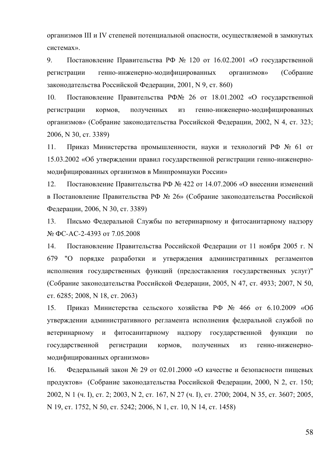организмов III и IV степеней потенциальной опасности, осуществляемой в замкнутых системах».

9. Постановление Правительства РФ № 120 от 16.02.2001 «О государственной регистрации генно-инженерно-модифицированных организмов» (Собрание законодательства Российской Федерации, 2001, N 9, ст. 860)

10. Постановление Правительства РФ№ 26 от 18.01.2002 «О государственной регистрации кормов, полученных из генно-инженерно-модифицированных организмов» (Собрание законодательства Российской Федерации, 2002, N 4, ст. 323; 2006, N 30, ct. 3389)

11. Приказ Министерства промышленности, науки и технологий РФ № 61 от 15.03.2002 «Об утверждении правил государственной регистрации генно-инженерномодифицированных организмов в Минпромнауки России»

12. Постановление Правительства РФ № 422 от 14.07.2006 «О внесении изменений в Постановление Правительства РФ № 26» (Собрание законодательства Российской Федерации, 2006, N 30, ст. 3389)

13. Письмо Федеральной Службы по ветеринарному и фитосанитарному надзору № ФС-АС-2-4393 от 7.05.2008

14. Постановление Правительства Российской Федерации от 11 ноября 2005 г. N 679 "О порядке разработки и утверждения административных регламентов исполнения государственных функций (предоставления государственных услуг)" (Собрание законодательства Российской Федерации, 2005, N 47, ст. 4933; 2007, N 50, ст. 6285; 2008, N 18, ст. 2063)

15. Приказ Министерства сельского хозяйства РФ № 466 от 6.10.2009 «Об утверждении административного регламента исполнения федеральной службой по ветеринарному и фитосанитарному надзору государственной функции по государственной регистрации кормов, полученных из генно-инженерномодифицированных организмов»

16. Федеральный закон № 29 от 02.01.2000 «О качестве и безопасности пищевых продуктов» (Собрание законодательства Российской Федерации, 2000, N 2, ст. 150; 2002, N 1 (Ҹ. I), ст. 2; 2003, N 2, ст. 167, N 27 (Ҹ. I), ст. 2700; 2004, N 35, ст. 3607; 2005, N 19, ct. 1752, N 50, ct. 5242; 2006, N 1, ct. 10, N 14, ct. 1458)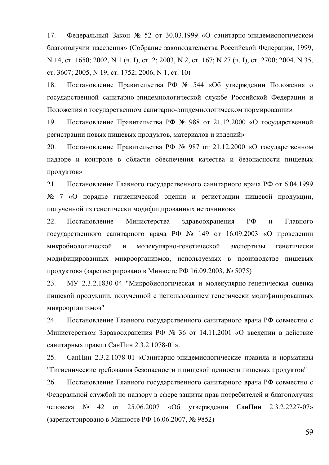17. Федеральный Закон № 52 от 30.03.1999 «О санитарно-эпидемиологическом благополучии населения» (Собрание законодательства Российской Федерации, 1999, N 14, ct. 1650; 2002, N 1 ( $\mu$ . I), ct. 2; 2003, N 2, ct. 167; N 27 ( $\mu$ . I), ct. 2700; 2004, N 35,  $cr. 3607; 2005, N 19, cr. 1752; 2006, N 1, cr. 10)$ 

18. Постановление Правительства РФ № 544 «Об утверждении Положения о государственной санитарно-эпидемиологической службе Российской Федерации и Положения о государственном санитарно-эпидемиологическом нормировании»

19. Постановление Правительства РФ № 988 от 21.12.2000 «О государственной регистрации новых пищевых продуктов, материалов и изделий»

20. Постановление Правительства РФ № 987 от 21.12.2000 «О государственном надзоре и контроле в области обеспечения качества и безопасности пищевых продуктов»

21. Постановление Главного государственного санитарного врача РФ от 6.04.1999  $N<sub>2</sub>$  7 «О порядке гигиенической оценки и регистрации пищевой продукции, полученной из генетически модифицированных источников»

22. Постановление Министерства здравоохранения РФ и Главного государственного санитарного врача РФ № 149 от 16.09.2003 «О проведении микробиологической и молекулярно-генетической экспертизы генетически модифицированных микроорганизмов, используемых в производстве пищевых продуктов» (зарегистрировано в Минюсте РФ 16.09.2003, № 5075)

23. МУ 2.3.2.1830-04 "Микробиологическая и молекулярно-генетическая оценка пищевой продукции, полученной с использованием генетически модифицированных микроорганизмов"

24. Постановление Главного государственного санитарного врача РФ совместно с Министерством Здравоохранения РФ № 36 от 14.11.2001 «О введении в действие санитарных правил СанПин 2.3.2.1078-01».

25. СанПин 2.3.2.1078-01 «Санитарно-эпидемиологические правила и нормативы "Гигиенические требования безопасности и пищевой ценности пищевых продуктов"

26. Постановление Главного государственного санитарного врача РФ совместно с Федеральной службой по надзору в сфере защиты прав потребителей и благополучия человека № 42 от 25.06.2007 «Об утверждении СанПин 2.3.2.2227-07» (зарегистрировано в Минюсте РФ 16.06.2007, № 9852)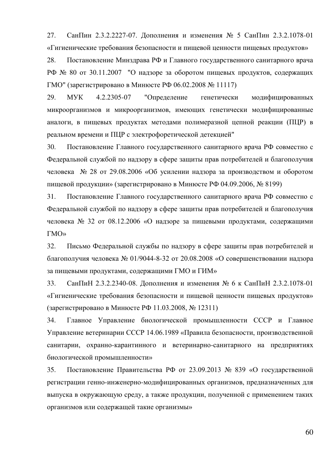27. СанПин 2.3.2.2227-07. Дополнения и изменения № 5 СанПин 2.3.2.1078-01 «Гигиенические требования безопасности и пищевой ценности пищевых продуктов»

28. Постановление Минздрава РФ и Главного государственного санитарного врача РФ № 80 от 30.11.2007 "О надзоре за оборотом пищевых продуктов, содержащих ГМО" (зарегистрировано в Минюсте РФ 06.02.2008 № 11117)

29. МУК 4.2.2305-07 "Определение генетически модифицированных микроорганизмов и микроорганизмов, имеющих генетически модифицированные аналоги, в пищевых продуктах методами полимеразной цепной реакции (ПЦР) в реальном времени и ПЦР с электрофоретической детекцией"

30. Постановление Главного государственного санитарного врача РФ совместно с Федеральной службой по надзору в сфере защиты прав потребителей и благополучия человека  $\mathcal{N}_2$  28 от 29.08.2006 «Об усилении надзора за производством и оборотом пищевой продукции» (зарегистрировано в Минюсте РФ 04.09.2006, № 8199)

31. Постановление Главного государственного санитарного врача РФ совместно с Федеральной службой по надзору в сфере защиты прав потребителей и благополучия человека № 32 от 08.12.2006 «О надзоре за пищевыми продуктами, содержащими ΓMΟ»

32. Письмо Федеральной службы по надзору в сфере защиты прав потребителей и благополучия человека № 01/9044-8-32 от 20.08.2008 «О совершенствовании надзора за пищевыми продуктами, содержащими ГМО и ГИМ»

33. СанПиН 2.3.2.2340-08. Дополнения и изменения № 6 к СанПиН 2.3.2.1078-01 «Гигиенические требования безопасности и пищевой ценности пищевых продуктов» (зарегистрировано в Минюсте РФ 11.03.2008, № 12311)

34. Главное Управление биологической промышленности СССР и Главное Управление ветеринарии СССР 14.06.1989 «Правила безопасности, производственной санитарии, охранно-карантинного и ветеринарно-санитарного на предприятиях биологической промышленности»

35. Постановление Правительства РФ от 23.09.2013 № 839 «О государственной регистрации генно-инженерно-модифицированных организмов, предназначенных для выпуска в окружающую среду, а также продукции, полученной с применением таких организмов или содержащей такие организмы»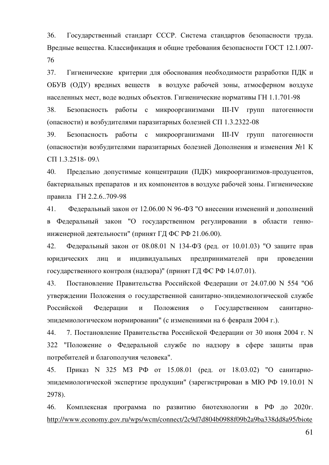36. Государственный стандарт СССР. Система стандартов безопасности труда. Вредные вещества. Классификация и общие требования безопасности ГОСТ 12.1.007-76

37. Гигиенические критерии для обоснования необходимости разработки ПДК и ОБУВ (ОДУ) вредных веществ в воздухе рабочей зоны, атмосферном воздухе населенных мест, воде водных объектов. Гигиенические нормативы ГН 1.1.701-98

38. Безопасность работы с микроорганизмами III-IV групп патогенности (опасности) и возбудителями паразитарных болезней СП 1.3.2322-08

39. Безопасность работы с микроорганизмами III-IV групп патогенности (опасности)и возбудителями паразитарных болезней Дополнения и изменения №1 К CII 1.3.2518- 09.

40. Предельно допустимые концентрации (ПДК) микроорганизмов-продуцентов, бактериальных препаратов и их компонентов в воздухе рабочей зоны. Гигиенические правила ГН 2.2.6..709-98

41. Федеральный закон от 12.06.00 N 96-ФЗ "О внесении изменений и дополнений в Федеральный закон "О государственном регулировании в области генноинженерной деятельности" (принят ГД ФС РФ 21.06.00).

42. Федеральный закон от 08.08.01 N 134-ФЗ (ред. от 10.01.03) "О защите прав юридических лиц и индивидуальных предпринимателей при проведении государственного контроля (надзора)" (принят ГД ФС РФ 14.07.01).

43. Постановление Правительства Российской Федерации от 24.07.00 N 554 "Об утверждении Положения о государственной санитарно-эпидемиологической службе Российской Федерации и Положения о Государственном санитарноэпидемиологическом нормировании" (с изменениями на 6 февраля 2004 г.).

44. 7. Постановление Правительства Российской Федерации от 30 июня 2004 г. N 322 "Положение о Федеральной службе по надзору в сфере защиты прав потребителей и благополучия человека".

45. Приказ N 325 МЗ РФ от 15.08.01 (ред. от 18.03.02) "О санитарноэпидемиологической экспертизе продукции" (зарегистрирован в МЮ РФ 19.10.01 N 2978).

46. Комплексная программа по развитию биотехнологии в РФ до 2020г. [http://www.economy.gov.ru/wps/wcm/connect/2c9d7d804b0988f09b2a9ba338dd8a95/biote](http://www.economy.gov.ru/wps/wcm/connect/2c9d7d804b0988f09b2a9ba338dd8a95/biotechdevelopcomprog_2020.pdf?MOD=AJPERES&CACHEID=2c9d7d804b0988f09b2a9ba338dd8a95)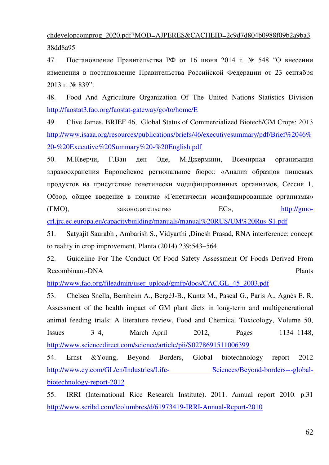chdevelopcomprog\_2020.pdf?MOD=AJPERES&CACHEID=2c9d7d804b0988f09b2a9ba3 38dd8a95

47. Постановление Правительства РФ от 16 июня 2014 г. № 548 "О внесении изменения в постановление Правительства Российской Федерации от 23 сентября  $2013$   $\Gamma$ .  $N_2$   $839$ ".

48. Food And Agriculture Organization Of The United Nations Statistics Division <http://faostat3.fao.org/faostat-gateway/go/to/home/E>

49. Clive James, BRIEF 46, Global Status of Commercialized Biotech/GM Crops: 2013 [http://www.isaaa.org/resources/publications/briefs/46/executivesummary/pdf/Brief%2046%](http://www.isaaa.org/resources/publications/briefs/46/executivesummary/pdf/Brief%2046%20-%20Executive%20Summary%20-%20English.pdf) [20-%20Executive%20Summary%20-%20English.pdf](http://www.isaaa.org/resources/publications/briefs/46/executivesummary/pdf/Brief%2046%20-%20Executive%20Summary%20-%20English.pdf)

50. М.Кверчи, Г.Ван ден Эде, М.Джермини, Всемирная организация здравоохранения Европейское региональное бюро:: «Анализ образцов пищевых продуктов на присутствие генетически модифицированных организмов, Сессия 1, Обзор, общее введение в понятие «Генетически модифицированные организмы» (ГМО), законодательство EC», [http://gmo-](http://gmo-crl.jrc.ec.europa.eu/capacitybuilding/manuals/manual%20RUS/UM%20Rus-S1.pdf)

[crl.jrc.ec.europa.eu/capacitybuilding/manuals/manual%20RUS/UM%20Rus-S1.pdf](http://gmo-crl.jrc.ec.europa.eu/capacitybuilding/manuals/manual%20RUS/UM%20Rus-S1.pdf) 

51. Satyajit Saurabh , Ambarish S., Vidyarthi ,Dinesh Prasad, RNA interference: concept to reality in crop improvement, Planta (2014) 239:543–564.

52. Guideline For The Conduct Of Food Safety Assessment Of Foods Derived From Recombinant-DNA Plants

[http://www.fao.org/fileadmin/user\\_upload/gmfp/docs/CAC.GL\\_45\\_2003.pdf](http://www.fao.org/fileadmin/user_upload/gmfp/docs/CAC.GL_45_2003.pdf)

53. Chelsea Snella, Bernheim A., BergéJ-B., Kuntz M., Pascal G., Paris A., Agnès E. R. Assessment of the health impact of GM plant diets in long-term and multigenerational animal feeding trials: A literature review, Food and Chemical Toxicology, Volume 50, Issues 3–4, March–April 2012, Pages 1134–1148, <http://www.sciencedirect.com/science/article/pii/S0278691511006399>

54. Ernst &Young, Beyond Borders, Global biotechnology report 2012 http://www.ey.com/GL/en/Industries/Life-<br>Sciences/Beyond-borders---global[biotechnology-report-2012](http://www.ey.com/GL/en/Industries/Life-%20Sciences/Beyond-borders---global-biotechnology-report-2012)

55. IRRI (International Rice Research Institute). 2011. Annual report 2010. p.31 <http://www.scribd.com/lcolumbres/d/61973419-IRRI-Annual-Report-2010>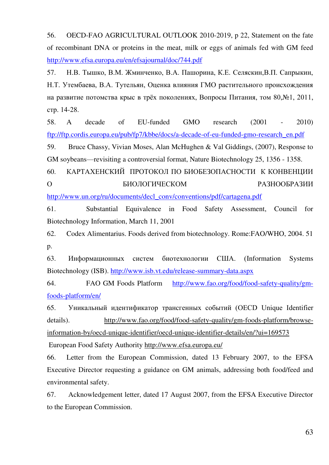56. OECD-FAO AGRICULTURAL OUTLOOK 2010-2019, p 22, Statement on the fate of recombinant DNA or proteins in the meat, milk or eggs of animals fed with GM feed <http://www.efsa.europa.eu/en/efsajournal/doc/744.pdf>

57. Н.В. Тышко, В.М. Жминченко, В.А. Пашорина, К.Е. Селяскин, В.П. Сапрыкин, Н.Т. Утембаева, В.А. Тутельян, Оценка влияния ГМО растительного происхождения на развитие потомства крыс в трёх поколениях, Вопросы Питания, том 80,№1, 2011, стр. 14-28.

58. A decade of EU-funded GMO research (2001 - 2010) [ftp://ftp.cordis.europa.eu/pub/fp7/kbbe/docs/a-decade-of-eu-funded-gmo-research\\_en.pdf](ftp://ftp.cordis.europa.eu/pub/fp7/kbbe/docs/a-decade-of-eu-funded-gmo-research_en.pdf)

59. Bruce Chassy, Vivian Moses, Alan McHughen & Val Giddings, (2007), Response to GM soybeans—revisiting a controversial format, Nature Biotechnology 25, 1356 - 1358.

60. КАРТАХЕНСКИЙ ПРОТОКОЛ ПО БИОБЕЗОПАСНОСТИ К КОНВЕНЦИИ О ВИОЛОГИЧЕСКОМ РАЗНООБРАЗИИ

[http://www.un.org/ru/documents/decl\\_conv/conventions/pdf/cartagena.pdf](http://www.un.org/ru/documents/decl_conv/conventions/pdf/cartagena.pdf)

61. Substantial Equivalence in Food Safety Assessment, Council for Biotechnology Information, March 11, 2001

62. Codex Alimentarius. Foods derived from biotechnology. Rome:FAO/WHO, 2004. 51 p.

63. Информационных систем биотехнологии США. (Information Systems Biotechnology (ISB).<http://www.isb.vt.edu/release-summary-data.aspx>

64. FAO GM Foods Platform [http://www.fao.org/food/food-safety-quality/gm](http://www.fao.org/food/food-safety-quality/gm-foods-platform/en/)[foods-platform/en/](http://www.fao.org/food/food-safety-quality/gm-foods-platform/en/)

65. Уникальный идентификатор трансгенных событий (OECD Unique Identifier details). [http://www.fao.org/food/food-safety-quality/gm-foods-platform/browse](http://www.fao.org/food/food-safety-quality/gm-foods-platform/browse-information-by/oecd-unique-identifier/oecd-unique-identifier-details/en/?ui=169573)[information-by/oecd-unique-identifier/oecd-unique-identifier-details/en/?ui=169573](http://www.fao.org/food/food-safety-quality/gm-foods-platform/browse-information-by/oecd-unique-identifier/oecd-unique-identifier-details/en/?ui=169573)

European Food Safety Authority<http://www.efsa.europa.eu/>

66. Letter from the European Commission, dated 13 February 2007, to the EFSA Executive Director requesting a guidance on GM animals, addressing both food/feed and environmental safety.

67. Acknowledgement letter, dated 17 August 2007, from the EFSA Executive Director to the European Commission.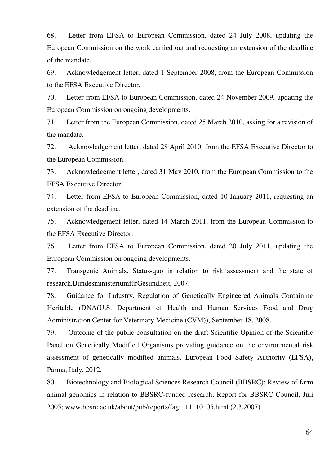68. Letter from EFSA to European Commission, dated 24 July 2008, updating the European Commission on the work carried out and requesting an extension of the deadline of the mandate.

69. Acknowledgement letter, dated 1 September 2008, from the European Commission to the EFSA Executive Director.

70. Letter from EFSA to European Commission, dated 24 November 2009, updating the European Commission on ongoing developments.

71. Letter from the European Commission, dated 25 March 2010, asking for a revision of the mandate.

72. Acknowledgement letter, dated 28 April 2010, from the EFSA Executive Director to the European Commission.

73. Acknowledgement letter, dated 31 May 2010, from the European Commission to the EFSA Executive Director.

74. Letter from EFSA to European Commission, dated 10 January 2011, requesting an extension of the deadline.

75. Acknowledgement letter, dated 14 March 2011, from the European Commission to the EFSA Executive Director.

76. Letter from EFSA to European Commission, dated 20 July 2011, updating the European Commission on ongoing developments.

77. Transgenic Animals. Status-quo in relation to risk assessment and the state of research, Bundesministeriumfür Gesundheit, 2007.

78. Guidance for Industry. Regulation of Genetically Engineered Animals Containing Heritable rDNA(U.S. Department of Health and Human Services Food and Drug Administration Center for Veterinary Medicine (CVM)), September 18, 2008.

79. Outcome of the public consultation on the draft Scientific Opinion of the Scientific Panel on Genetically Modified Organisms providing guidance on the environmental risk assessment of genetically modified animals. European Food Safety Authority (EFSA), Parma, Italy, 2012.

80. Biotechnology and Biological Sciences Research Council (BBSRC): Review of farm animal genomics in relation to BBSRC-funded research; Report for BBSRC Council, Juli 2005; www.bbsrc.ac.uk/about/pub/reports/fagr\_11\_10\_05.html (2.3.2007).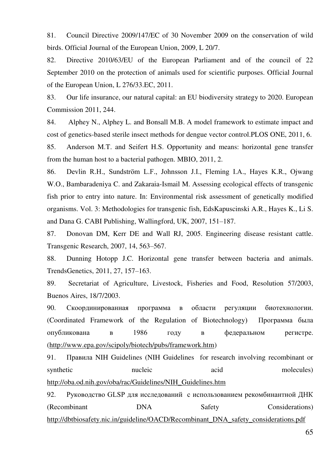81. Council Directive 2009/147/EC of 30 November 2009 on the conservation of wild birds. Official Journal of the European Union, 2009, L 20/7.

82. Directive 2010/63/EU of the European Parliament and of the council of 22 September 2010 on the protection of animals used for scientific purposes. Official Journal of the European Union, L 276/33.EC, 2011.

83. Our life insurance, our natural capital: an EU biodiversity strategy to 2020. European Commission 2011, 244.

84. Alphey N., Alphey L. and Bonsall M.B. A model framework to estimate impact and cost of genetics-based sterile insect methods for dengue vector control.PLOS ONE, 2011, 6.

85. Anderson M.T. and Seifert H.S. Opportunity and means: horizontal gene transfer from the human host to a bacterial pathogen. MBIO, 2011, 2.

86. Devlin R.H., Sundström L.F., Johnsson J.I., Fleming I.A., Hayes K.R., Ojwang W.O., Bambaradeniya C. and Zakaraia-Ismail M. Assessing ecological effects of transgenic fish prior to entry into nature. In: Environmental risk assessment of genetically modified organisms. Vol. 3: Methodologies for transgenic fish, EdsKapuscinski A.R., Hayes K., Li S. and Dana G. CABI Publishing, Wallingford, UK, 2007, 151–187.

87. Donovan DM, Kerr DE and Wall RJ, 2005. Engineering disease resistant cattle. Transgenic Research, 2007, 14, 563–567.

88. Dunning Hotopp J.C. Horizontal gene transfer between bacteria and animals. TrendsGenetics, 2011, 27, 157–163.

89. Secretariat of Agriculture, Livestock, Fisheries and Food, Resolution 57/2003, Buenos Aires, 18/7/2003.

90. Скоординированная программа в области регуляции биотехнологии. (Coordinated Framework of the Regulation of Biotechnology) Программа была опубликована в 1986 году в федеральном регистре. [\(http://www.epa.gov/scipoly/biotech/pubs/framework.htm\)](http://www.epa.gov/scipoly/biotech/pubs/framework.htm)

91. Правила NIH Guidelines (NIH Guidelines for research involving recombinant or synthetic nucleic acid molecules) [http://oba.od.nih.gov/oba/rac/Guidelines/NIH\\_Guidelines.htm](http://oba.od.nih.gov/oba/rac/Guidelines/NIH_Guidelines.htm) 

92. Руководство GLSP для исследований с использованием рекомбинантной ДНК (Recombinant DNA Safety Considerations) [http://dbtbiosafety.nic.in/guideline/OACD/Recombinant\\_DNA\\_safety\\_considerations.pdf](http://dbtbiosafety.nic.in/guideline/OACD/Recombinant_DNA_safety_considerations.pdf)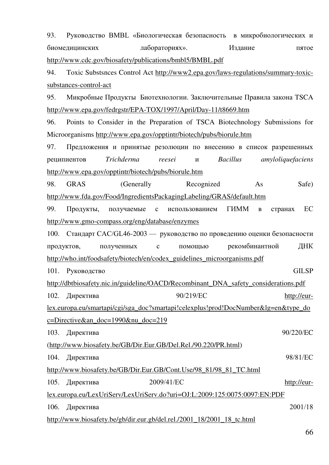| 93.                                                                              | Руководство BMBL «Биологическая безопасность в микробиологических и                 |  |                   |              |                 |                   |
|----------------------------------------------------------------------------------|-------------------------------------------------------------------------------------|--|-------------------|--------------|-----------------|-------------------|
|                                                                                  | биомедицинских                                                                      |  | лабораториях».    |              | Издание         | пятое             |
|                                                                                  | http://www.cdc.gov/biosafety/publications/bmbl5/BMBL.pdf                            |  |                   |              |                 |                   |
| 94.                                                                              | Toxic Substsnees Control Act http://www2.epa.gov/laws-regulations/summary-toxic-    |  |                   |              |                 |                   |
|                                                                                  | substances-control-act                                                              |  |                   |              |                 |                   |
| 95.                                                                              | Микробные Продукты Биотехнологии. Заключительные Правила закона TSCA                |  |                   |              |                 |                   |
|                                                                                  | http://www.epa.gov/fedrgstr/EPA-TOX/1997/April/Day-11/t8669.htm                     |  |                   |              |                 |                   |
| 96.                                                                              | Points to Consider in the Preparation of TSCA Biotechnology Submissions for         |  |                   |              |                 |                   |
|                                                                                  | Microorganisms http://www.epa.gov/opptintr/biotech/pubs/biorule.htm                 |  |                   |              |                 |                   |
| 97.                                                                              | Предложения и принятые резолюции по внесению в список разрешенных                   |  |                   |              |                 |                   |
|                                                                                  | реципиентов                                                                         |  | Trichderma reesei | $\mathbf{M}$ | <b>Bacillus</b> | amyloliquefaciens |
|                                                                                  | http://www.epa.gov/opptintr/biotech/pubs/biorule.htm                                |  |                   |              |                 |                   |
| 98.                                                                              | <b>GRAS</b>                                                                         |  | (Generally        | Recognized   | As              | Safe)             |
|                                                                                  | http://www.fda.gov/Food/IngredientsPackagingLabeling/GRAS/default.htm               |  |                   |              |                 |                   |
| 99.                                                                              | Продукты, получаемые с использованием ГИММ                                          |  |                   |              | $\, {\bf B}$    | EC<br>странах     |
|                                                                                  | http://www.gmo-compass.org/eng/database/enzymes                                     |  |                   |              |                 |                   |
| 100.                                                                             | Стандарт CAC/GL46-2003 — руководство по проведению оценки безопасности              |  |                   |              |                 |                   |
|                                                                                  | продуктов, полученных                                                               |  | $\mathbf c$       | помощью      | рекомбинантной  | ДНК               |
|                                                                                  | http://who.int/foodsafety/biotech/en/codex_guidelines_microorganisms.pdf            |  |                   |              |                 |                   |
|                                                                                  | 101. Руководство                                                                    |  |                   |              |                 | <b>GILSP</b>      |
|                                                                                  | http://dbtbiosafety.nic.in/guideline/OACD/Recombinant_DNA_safety_considerations.pdf |  |                   |              |                 |                   |
| 102.                                                                             | Директива                                                                           |  |                   | 90/219/EC    |                 | http://eur-       |
| lex.europa.eu/smartapi/cgi/sga_doc?smartapi!celexplus!prod!DocNumber≶=en&type_do |                                                                                     |  |                   |              |                 |                   |
|                                                                                  | <u>c=Directive&amp;an_doc=1990ν_doc=219</u>                                         |  |                   |              |                 |                   |
| 103.                                                                             | Директива                                                                           |  |                   |              |                 | 90/220/EC         |
|                                                                                  | (http://www.biosafety.be/GB/Dir.Eur.GB/Del.Rel./90.220/PR.html)                     |  |                   |              |                 |                   |
| 104.                                                                             | Директива                                                                           |  |                   |              |                 | 98/81/EC          |
| http://www.biosafety.be/GB/Dir.Eur.GB/Cont.Use/98_81/98_81_TC.html               |                                                                                     |  |                   |              |                 |                   |
| 105.                                                                             | Директива                                                                           |  | 2009/41/EC        |              |                 | http://eur-       |
|                                                                                  | lex.europa.eu/LexUriServ/LexUriServ.do?uri=OJ:L:2009:125:0075:0097:EN:PDF           |  |                   |              |                 |                   |
| 106.                                                                             | Директива                                                                           |  |                   |              |                 | 2001/18           |
|                                                                                  | http://www.biosafety.be/gb/dir.eur.gb/del.rel./2001_18/2001_18_tc.html              |  |                   |              |                 |                   |